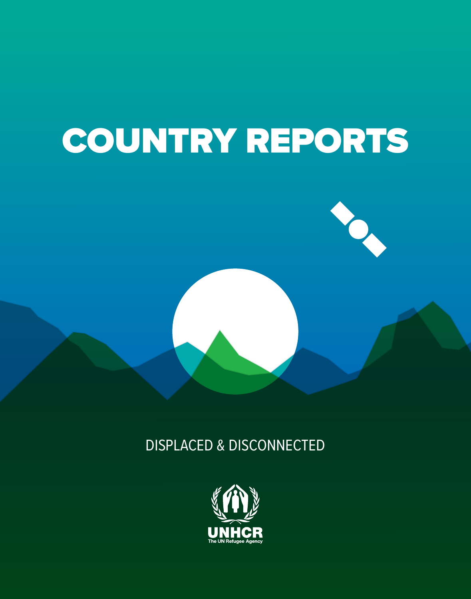### COUNTRY REPORTS



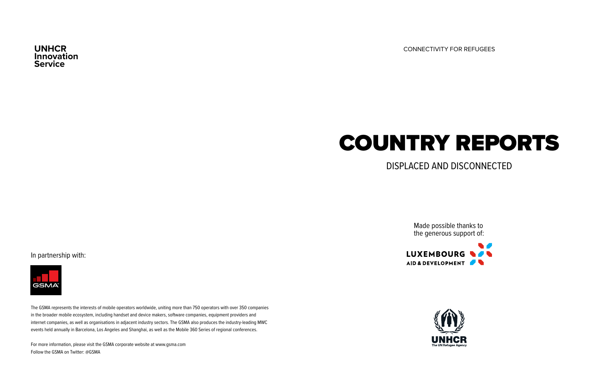**Innovation Service**

**UNHCR** CONNECTIVITY FOR REFUGEES

### COUNTRY REPORTS

DISPLACED AND DISCONNECTED

In partnership with:



The GSMA represents the interests of mobile operators worldwide, uniting more than 750 operators with over 350 companies in the broader mobile ecosystem, including handset and device makers, software companies, equipment providers and internet companies, as well as organisations in adjacent industry sectors. The GSMA also produces the industry-leading MWC events held annually in Barcelona, Los Angeles and Shanghai, as well as the Mobile 360 Series of regional conferences.

For more information, please visit the GSMA corporate website at www.gsma.com Follow the GSMA on Twitter: @GSMA

Made possible thanks to the generous support of:

 $\blacksquare$ LUXEMBOURG **WAS** AID & DEVELOPMENT

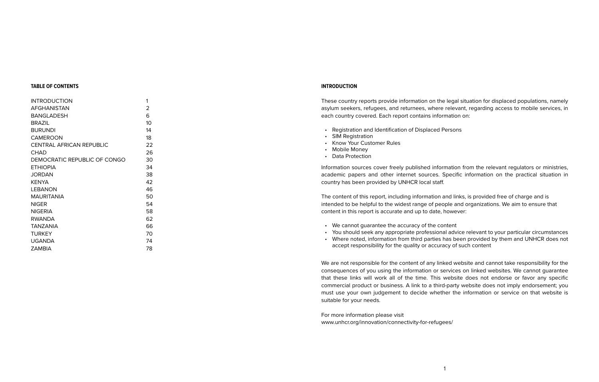#### **TABLE OF CONTENTS**

| <b>INTRODUCTION</b>             | 1  |
|---------------------------------|----|
| AFGHANISTAN                     | 2  |
| BANGLADESH                      | 6  |
| <b>BRAZIL</b>                   | 10 |
| <b>BURUNDI</b>                  | 14 |
| CAMEROON                        | 18 |
| <b>CENTRAL AFRICAN REPUBLIC</b> | 22 |
| CHAD                            | 26 |
| DEMOCRATIC REPUBLIC OF CONGO    | 30 |
| <b>ETHIOPIA</b>                 | 34 |
| JORDAN                          | 38 |
| KFNYA                           | 42 |
| I FRANON                        | 46 |
| <b>MAURITANIA</b>               | 50 |
| <b>NIGER</b>                    | 54 |
| <b>NIGERIA</b>                  | 58 |
| <b>RWANDA</b>                   | 62 |
| TANZANIA                        | 66 |
| TURKEY                          | 70 |
| UGANDA                          | 74 |
| ZAMBIA                          | 78 |

#### **INTRODUCTION**

These country reports provide information on the legal situation for displaced populations, namely asylum seekers, refugees, and returnees, where relevant, regarding access to mobile services, in each country covered. Each report contains information on:

- Registration and Identification of Displaced Persons
- SIM Registration
- Know Your Customer Rules
- Mobile Money
- Data Protection

Information sources cover freely published information from the relevant regulators or ministries, academic papers and other internet sources. Specific information on the practical situation in country has been provided by UNHCR local staff.

The content of this report, including information and links, is provided free of charge and is intended to be helpful to the widest range of people and organizations. We aim to ensure that content in this report is accurate and up to date, however:

- We cannot guarantee the accuracy of the content
- You should seek any appropriate professional advice relevant to your particular circumstances
- Where noted, information from third parties has been provided by them and UNHCR does not accept responsibility for the quality or accuracy of such content

We are not responsible for the content of any linked website and cannot take responsibility for the consequences of you using the information or services on linked websites. We cannot guarantee that these links will work all of the time. This website does not endorse or favor any specific commercial product or business. A link to a third-party website does not imply endorsement; you must use your own judgement to decide whether the information or service on that website is suitable for your needs.

For more information please visit [www.unhcr.org/innovation/connectivity-for-refugees/](http://www.unhcr.org/innovation/connectivity-for-refugees/)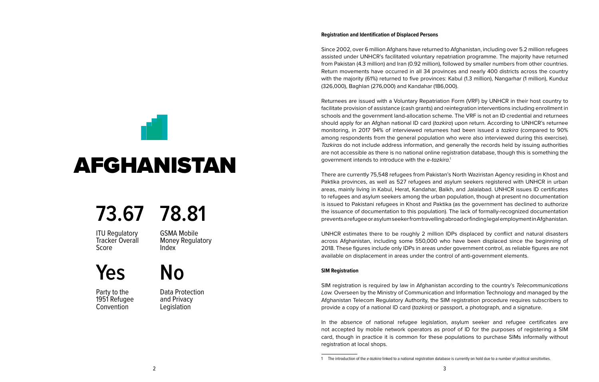# <span id="page-3-0"></span>AFGHANISTAN

### **73.67 78.81**

**ITU Requlatory** Tracker Overall Score

GSMA Mobile Money Regulatory Index

### **Yes No**

Party to the 1951 Refugee **Convention** 

Data Protection and Privacy **Legislation** 

#### **Registration and Identification of Displaced Persons**

Since 2002, over 6 million Afghans have returned to Afghanistan, including over 5.2 million refugees assisted under UNHCR's facilitated voluntary repatriation programme. The majority have returned from Pakistan (4.3 million) and Iran (0.92 million), followed by smaller numbers from other countries. Return movements have occurred in all 34 provinces and nearly 400 districts across the country with the majority (61%) returned to five provinces: Kabul (1.3 million), Nangarhar (1 million), Kunduz (326,000), Baghlan (276,000) and Kandahar (186,000).

Returnees are issued with a Voluntary Repatriation Form (VRF) by UNHCR in their host country to facilitate provision of assistance (cash grants) and reintegration interventions including enrollment in schools and the government land-allocation scheme. The VRF is not an ID credential and returnees should apply for an Afghan national ID card (*tazkira*) upon return. According to UNHCR's returnee monitoring, in 2017 94% of interviewed returnees had been issued a *tazkira* (compared to 90% among respondents from the general population who were also interviewed during this exercise). *Tazkiras* do not include address information, and generally the records held by issuing authorities are not accessible as there is no national online registration database, though this is something the government intends to introduce with the *e-tazkira*. 1

There are currently 75,548 refugees from Pakistan's North Waziristan Agency residing in Khost and Paktika provinces, as well as 527 refugees and asylum seekers registered with UNHCR in urban areas, mainly living in Kabul, Herat, Kandahar, Balkh, and Jalalabad. UNHCR issues ID certificates to refugees and asylum seekers among the urban population, though at present no documentation is issued to Pakistani refugees in Khost and Paktika (as the government has declined to authorize the issuance of documentation to this population). The lack of formally-recognized documentation prevents a refugee or asylum seeker from travelling abroad or finding legal employment in Afghanistan.

UNHCR estimates there to be roughly 2 million IDPs displaced by conflict and natural disasters across Afghanistan, including some 550,000 who have been displaced since the beginning of 2018. These figures include only IDPs in areas under government control, as reliable figures are not available on displacement in areas under the control of anti-government elements.

#### **SIM Registration**

SIM registration is required by law in Afghanistan according to the country's *Telecommunications Law.* Overseen by the Ministry of Communication and Information Technology and managed by the Afghanistan Telecom Regulatory Authority, the SIM registration procedure requires subscribers to provide a copy of a national ID card (*tazkira*) or passport, a photograph, and a signature.

In the absence of national refugee legislation, asylum seeker and refugee certificates are not accepted by mobile network operators as proof of ID for the purposes of registering a SIM card, though in practice it is common for these populations to purchase SIMs informally without registration at local shops.

<sup>1</sup> The introduction of the *e-tazkira* linked to a national registration database is currently on hold due to a number of political sensitivities.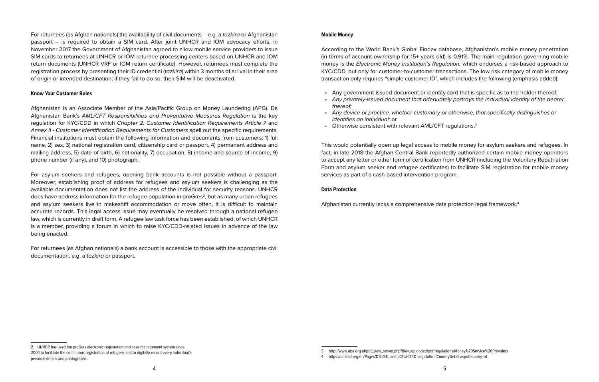For returnees (as Afghan nationals) the availability of civil documents – e.g. a *tazkira* or Afghanistan passport – is required to obtain a SIM card. After joint UNHCR and IOM advocacy efforts, in November 2017 the Government of Afghanistan agreed to allow mobile service providers to issue SIM cards to returnees at UNHCR or IOM returnee processing centers based on UNHCR and IOM return documents (UNHCR VRF or IOM return certificate). However, returnees must complete the registration process by presenting their ID credential (*tazkira*) within 3 months of arrival in their area of origin or intended destination; if they fail to do so, their SIM will be deactivated.

#### **Know Your Customer Rules**

Afghanistan is an Associate Member of the Asia/Pacific Group on Money Laundering (APG). Da Afghanistan Bank's *AML/CFT Responsibilities and Preventative Measures Regulation* is the key regulation for KYC/CDD in which *Chapter 2: Customer Identification Requirements Article 7* and *Annex II - Customer Identification Requirements for Customers* spell out the specific requirements. Financial institutions must obtain the following information and documents from customers: 1) full name, 2) sex, 3) national registration card, citizenship card or passport, 4) permanent address and mailing address, 5) date of birth, 6) nationality, 7) occupation, 8) income and source of income, 9) phone number (if any), and 10) photograph.

For asylum seekers and refugees, opening bank accounts is not possible without a passport. Moreover, establishing proof of address for refugees and asylum seekers is challenging as the available documentation does not list the address of the individual for security reasons. UNHCR does have address information for the refugee population in proGres<sup>2</sup>, but as many urban refugees and asylum seekers live in makeshift accommodation or move often, it is difficult to maintain accurate records. This legal access issue may eventually be resolved through a national refugee law, which is currently in draft form. A refugee law task force has been established, of which UNHCR is a member, providing a forum in which to raise KYC/CDD-related issues in advance of the law being enacted.

For returnees (as Afghan nationals) a bank account is accessible to those with the appropriate civil documentation, e.g. a *tazkira* or passport.

#### **Mobile Money**

According to the World Bank's Global Findex database, Afghanistan's mobile money penetration (in terms of account ownership for 15+ years old) is 0.91%. The main regulation governing mobile money is the *Electronic Money Institution's Regulation,* which endorses a risk-based approach to KYC/CDD, but only for customer-to-customer transactions. The low risk category of mobile money transaction only requires "simple customer ID", which includes the following (emphasis added):

- Any government-issued document or identity card that is specific as to the holder thereof;
- *• Any privately-issued document that adequately portrays the individual identity of the bearer thereof;*
- *• Any device or practice, whether customary or otherwise, that specifically distinguishes or identifies an individual;* or
- Otherwise consistent with relevant AML/CFT regulations.<sup>3</sup>

This would potentially open up legal access to mobile money for asylum seekers and refugees. In fact, in late 2018 the Afghan Central Bank reportedly authorized certain mobile money operators to accept any letter or other form of certification from UNHCR (including the Voluntary Repatriation Form and asylum seeker and refugee certificates) to facilitate SIM registration for mobile money services as part of a cash-based intervention program.

#### **Data Protection**

Afghanistan currently lacks a comprehensive data protection legal framework.4

<sup>2</sup> UNHCR has used the proGres electronic registration and case management system since 2004 to facilitate the continuous registration of refugees and to digitally record every individual's personal details and photographs.

<sup>3</sup> http://www.aba.org.af/pdf\_view\_server.php?file=./uploaded/pdf/regulations/Money%20Service%20Providers

<sup>4</sup> https://unctad.org/en/Pages/DTL/STI\_and\_ICTs/ICT4D-Legislation/CountryDetail.aspx?country=af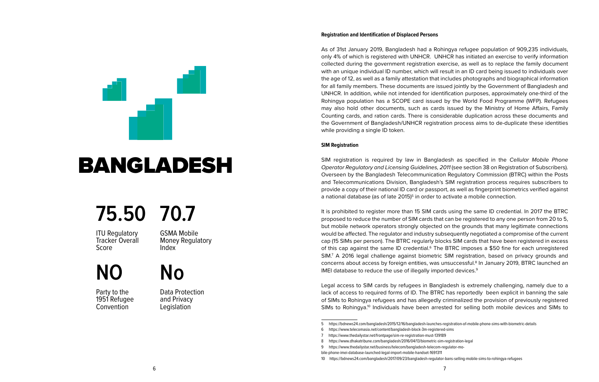### <span id="page-5-0"></span>BANGLADESH

### **75.50 70.7**

ITU Regulatory Tracker Overall Score

GSMA Mobile Money Regulatory Index

### **NO**

Party to the 1951 Refugee **Convention** 

Data Protection and Privacy **Legislation** 

**No**

#### **Registration and Identification of Displaced Persons**

As of 31st January 2019, Bangladesh had a Rohingya refugee population of 909,235 individuals, only 4% of which is registered with UNHCR. UNHCR has initiated an exercise to verify information collected during the government registration exercise, as well as to replace the family document with an unique individual ID number, which will result in an ID card being issued to individuals over the age of 12, as well as a family attestation that includes photographs and biographical information for all family members. These documents are issued jointly by the Government of Bangladesh and UNHCR. In addition, while not intended for identification purposes, approximately one-third of the Rohingya population has a SCOPE card issued by the World Food Programme (WFP). Refugees may also hold other documents, such as cards issued by the Ministry of Home Affairs, Family Counting cards, and ration cards. There is considerable duplication across these documents and the Government of Bangladesh/UNHCR registration process aims to de-duplicate these identities while providing a single ID token.

#### **SIM Registration**

SIM registration is required by law in Bangladesh as specified in the *Cellular Mobile Phone Operator Regulatory and Licensing Guidelines, 2011* (see section 38 on Registration of Subscribers). Overseen by the Bangladesh Telecommunication Regulatory Commission (BTRC) within the Posts and Telecommunications Division, Bangladesh's SIM registration process requires subscribers to provide a copy of their national ID card or passport, as well as fingerprint biometrics verified against a national database (as of late 2015)<sup>5</sup> in order to activate a mobile connection.

It is prohibited to register more than 15 SIM cards using the same ID credential. In 2017 the BTRC proposed to reduce the number of SIM cards that can be registered to any one person from 20 to 5, but mobile network operators strongly objected on the grounds that many legitimate connections would be affected. The regulator and industry subsequently negotiated a compromise of the current cap (15 SIMs per person). The BTRC regularly blocks SIM cards that have been registered in excess of this cap against the same ID credential.<sup>6</sup> The BTRC imposes a \$50 fine for each unregistered SIM.7 A 2016 legal challenge against biometric SIM registration, based on privacy grounds and concerns about access by foreign entities, was unsuccessful.<sup>8</sup> In January 2019, BTRC launched an IMEI database to reduce the use of illegally imported devices.<sup>9</sup>

Legal access to SIM cards by refugees in Bangladesh is extremely challenging, namely due to a lack of access to required forms of ID. The BTRC has reportedly been explicit in banning the sale of SIMs to Rohingya refugees and has allegedly criminalized the provision of previously registered SIMs to Rohingya.<sup>10</sup> Individuals have been arrested for selling both mobile devices and SIMs to

<sup>5</sup> https://bdnews24.com/bangladesh/2015/12/16/bangladesh-launches-registration-of-mobile-phone-sims-with-biometric-details

<sup>6</sup> https://www.telecomasia.net/content/bangladesh-block-3m-registered-sims

<sup>7</sup> <https://www.thedailystar.net/frontpage/sim-re-registration-must-139189>

<sup>8</sup> https://www.dhakatribune.com/bangladesh/2016/04/13/biometric-sim-registration-legal

<sup>9</sup> https://www.thedailystar.net/business/telecom/bangladesh-telecom-regulator-mo-

bile-phone-imei-database-launched-legal-import-mobile-handset-1691311

<sup>10</sup> https://bdnews24.com/bangladesh/2017/09/23/bangladesh-regulator-bans-selling-mobile-sims-to-rohingya-refugees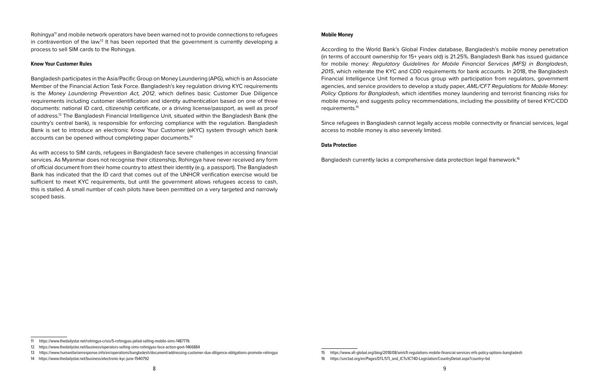Rohingya<sup>11</sup> and mobile network operators have been warned not to provide connections to refugees in contravention of the law.<sup>12</sup> It has been reported that the government is currently developing a process to sell SIM cards to the Rohingya.

#### **Know Your Customer Rules**

Bangladesh participates in the Asia/Pacific Group on Money Laundering (APG), which is an Associate Member of the Financial Action Task Force. Bangladesh's key regulation driving KYC requirements is the *Money Laundering Prevention Act, 2012*, which defines basic Customer Due Diligence requirements including customer identification and identity authentication based on one of three documents: national ID card, citizenship certificate, or a driving license/passport, as well as proof of address.13 The Bangladesh Financial Intelligence Unit, situated within the Bangladesh Bank (the country's central bank), is responsible for enforcing compliance with the regulation. Bangladesh Bank is set to introduce an electronic Know Your Customer (eKYC) system through which bank accounts can be opened without completing paper documents.14

As with access to SIM cards, refugees in Bangladesh face severe challenges in accessing financial services. As Myanmar does not recognise their citizenship, Rohingya have never received any form of official document from their home country to attest their identity (e.g. a passport). The Bangladesh Bank has indicated that the ID card that comes out of the UNHCR verification exercise would be sufficient to meet KYC requirements, but until the government allows refugees access to cash, this is stalled. A small number of cash pilots have been permitted on a very targeted and narrowly scoped basis.

#### **Mobile Money**

According to the World Bank's Global Findex database, Bangladesh's mobile money penetration (in terms of account ownership for 15+ years old) is 21.25%. Bangladesh Bank has issued guidance for mobile money: *Regulatory Guidelines for Mobile Financial Services (MFS) in Bangladesh, 2015*, which reiterate the KYC and CDD requirements for bank accounts. In 2018, the Bangladesh Financial Intelligence Unit formed a focus group with participation from regulators, government agencies, and service providers to develop a study paper, *AML/CFT Regulations for Mobile Money: Policy Options for Bangladesh*, which identifies money laundering and terrorist financing risks for mobile money, and suggests policy recommendations, including the possibility of tiered KYC/CDD requirements.<sup>15</sup>

Since refugees in Bangladesh cannot legally access mobile connectivity or financial services, legal access to mobile money is also severely limited.

#### **Data Protection**

Bangladesh currently lacks a comprehensive data protection legal framework.<sup>16</sup>

<sup>11</sup> https://www.thedailystar.net/rohingya-crisis/5-rohingyas-jailed-selling-mobile-sims-1487776

<sup>12</sup> https://www.thedailystar.net/business/operators-selling-sims-rohingyas-face-action-govt-1466884

<sup>13</sup> https://www.humanitarianresponse.info/en/operations/bangladesh/document/addressing-customer-due-diligence-obligations-promote-rohingya

<sup>14</sup> https://www.thedailystar.net/business/electronic-kyc-june-1540792

<sup>15</sup> https://www.afi-global.org/blog/2018/08/amlcft-regulations-mobile-financial-services-mfs-policy-options-bangladesh

<sup>16</sup> https://unctad.org/en/Pages/DTL/STI\_and\_ICTs/ICT4D-Legislation/CountryDetail.aspx?country=bd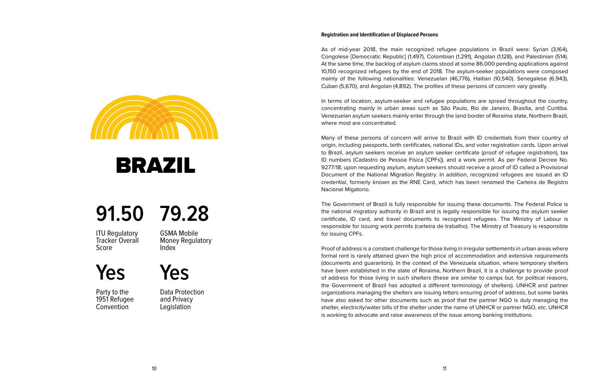As of mid-year 2018, the main recognized refugee populations in Brazil were: Syrian (3,164), Congolese [Democratic Republic] (1,497), Colombian (1,291), Angolan (1,128), and Palestinian (514). At the same time, the backlog of asylum claims stood at some 86,000 pending applications against 10,150 recognized refugees by the end of 2018. The asylum-seeker populations were composed mainly of the following nationalities: Venezuelan (46,776), Haitian (10,540), Senegalese (6,943), Cuban (5,670), and Angolan (4,892). The profiles of these persons of concern vary greatly.

In terms of location, asylum-seeker and refugee populations are spread throughout the country, concentrating mainly in urban areas such as São Paulo, Rio de Janeiro, Brasília, and Curitiba. Venezuelan asylum seekers mainly enter through the land border of Roraima state, Northern Brazil, where most are concentrated.

Many of these persons of concern will arrive to Brazil with ID credentials from their country of origin, including passports, birth certificates, national IDs, and voter registration cards. Upon arrival to Brazil, asylum seekers receive an asylum seeker certificate (proof of refugee registration), tax ID numbers (Cadastro de Pessoa Física [CPFs]), and a work permit. As per Federal Decree No. 9277/18, upon requesting asylum, asylum seekers should receive a proof of ID called a Provisional Document of the National Migration Registry. In addition, recognized refugees are issued an ID credential, formerly known as the RNE Card, which has been renamed the Carteira de Registro Nacional Migatorio.

The Government of Brazil is fully responsible for issuing these documents. The Federal Police is the national migratory authority in Brazil and is legally responsible for issuing the asylum seeker certificate, ID card, and travel documents to recognized refugees. The Ministry of Labour is responsible for issuing work permits (carteira de trabalho). The Ministry of Treasury is responsible for issuing CPFs.

Proof of address is a constant challenge for those living in irregular settlements in urban areas where formal rent is rarely attained given the high price of accommodation and extensive requirements (documents and guarantors). In the context of the Venezuela situation, where temporary shelters have been established in the state of Roraima, Northern Brazil, it is a challenge to provide proof of address for those living in such shelters (these are similar to camps but, for political reasons, the Government of Brazil has adopted a different terminology of shelters). UNHCR and partner organizations managing the shelters are issuing letters ensuring proof of address, but some banks have also asked for other documents such as proof that the partner NGO is duly managing the shelter, electricity/water bills of the shelter under the name of UNHCR or partner NGO, etc. UNHCR is working to advocate and raise awareness of the issue among banking institutions.

<span id="page-7-0"></span>

### BRAZIL

### **91.50 79.28**

**ITU Requlatory** Tracker Overall Score

GSMA Mobile Money Regulatory Index

**Yes**

Party to the 1951 Refugee **Convention** 

Data Protection and Privacy **Legislation** 

**Yes**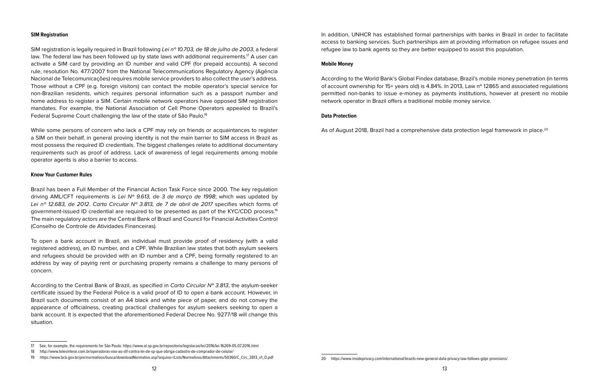#### **SIM Registration**

SIM registration is legally required in Brazil following *Lei nº 10.703, de 18 de julho de 2003*, a federal law. The federal law has been followed up by state laws with additional requirements.<sup>17</sup> A user can activate a SIM card by providing an ID number and valid CPF (for prepaid accounts). A second rule, resolution No. 477/2007 from the National Telecommunications Regulatory Agency (Agência Nacional de Telecomunicações) requires mobile service providers to also collect the user's address. Those without a CPF (e.g. foreign visitors) can contact the mobile operator's special service for non-Brazilian residents, which requires personal information such as a passport number and home address to register a SIM. Certain mobile network operators have opposed SIM registration mandates. For example, the National Association of Cell Phone Operators appealed to Brazil's Federal Supreme Court challenging the law of the state of São Paulo.<sup>18</sup>

While some persons of concern who lack a CPF may rely on friends or acquaintances to register a SIM on their behalf, in general proving identity is not the main barrier to SIM access in Brazil as most possess the required ID credentials. The biggest challenges relate to additional documentary requirements such as proof of address. Lack of awareness of legal requirements among mobile operator agents is also a barrier to access.

#### **Know Your Customer Rules**

Brazil has been a Full Member of the Financial Action Task Force since 2000. The key regulation driving AML/CFT requirements is *Lei Nº 9.613, de 3 de março de 1998*; which was updated by *Lei nº 12.683, de 2012. Carta Circular Nº 3.813, de 7 de abril de 2017* specifies which forms of government-issued ID credential are required to be presented as part of the KYC/CDD process.19 The main regulatory actors are the Central Bank of Brazil and Council for Financial Activities Control (Conselho de Controle de Atividades Financeiras).

To open a bank account in Brazil, an individual must provide proof of residency (with a valid registered address), an ID number, and a CPF. While Brazilian law states that both asylum seekers and refugees should be provided with an ID number and a CPF, being formally registered to an address by way of paying rent or purchasing property remains a challenge to many persons of concern.

According to the Central Bank of Brazil, as specified in *Carta Circular Nº 3.813*, the asylum-seeker certificate issued by the Federal Police is a valid proof of ID to open a bank account. However, in Brazil such documents consist of an A4 black and white piece of paper, and do not convey the appearance of officialness, creating practical challenges for asylum seekers seeking to open a bank account. It is expected that the aforementioned Federal Decree No. 9277/18 will change this situation.

In addition, UNHCR has established formal partnerships with banks in Brazil in order to facilitate access to banking services. Such partnerships aim at providing information on refugee issues and refugee law to bank agents so they are better equipped to assist this population.

#### **Mobile Money**

According to the World Bank's Global Findex database, Brazil's mobile money penetration (in terms of account ownership for 15+ years old) is 4.84%. In 2013, Law nº 12865 and associated regulations permitted non-banks to issue e-money as payments institutions, however at present no mobile network operator in Brazil offers a traditional mobile money service.

#### **Data Protection**

As of August 2018, Brazil had a comprehensive data protection legal framework in place.<sup>20</sup>

<sup>17</sup> See, for example, the requirements for São Paulo: https://www.al.sp.gov.br/repositorio/legislacao/lei/2016/lei-16269-05.07.2016.html

<sup>18</sup> http://www.telesintese.com.br/operadoras-vao-ao-stf-contra-lei-de-sp-que-obriga-cadastro-de-comprador-de-celular/

<sup>19</sup> https://www.bcb.gov.br/pre/normativos/busca/downloadNormativo.asp?arquivo=/Lists/Normativos/Attachments/50360/C\_Circ\_3813\_v1\_O.pdf

<sup>20</sup> https://www.insideprivacy.com/international/brazils-new-general-data-privacy-law-follows-gdpr-provisions/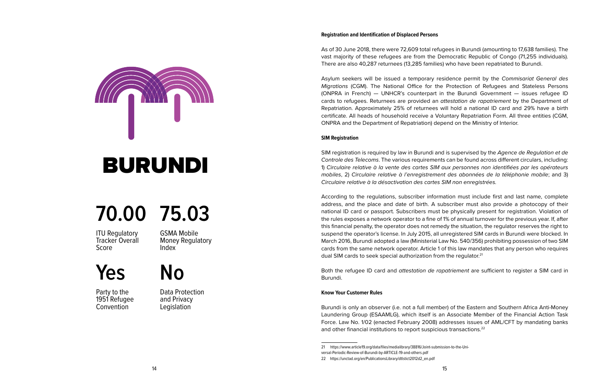<span id="page-9-0"></span>

### BURUNDI

### **70.00 75.03**

ITU Regulatory Tracker Overall Score

GSMA Mobile Money Regulatory Index

### **Yes No**

Party to the 1951 Refugee **Convention** 

Data Protection and Privacy **Legislation** 

#### **Registration and Identification of Displaced Persons**

As of 30 June 2018, there were 72,609 total refugees in Burundi (amounting to 17,638 families). The vast majority of these refugees are from the Democratic Republic of Congo (71,255 individuals). There are also 40,287 returnees (13,285 families) who have been repatriated to Burundi.

Asylum seekers will be issued a temporary residence permit by the *Commisariat General des Migrations* (CGM). The National Office for the Protection of Refugees and Stateless Persons (ONPRA in French) — UNHCR's counterpart in the Burundi Government — issues refugee ID cards to refugees. Returnees are provided an *attestation de rapatriement* by the Department of Repatriation. Approximately 25% of returnees will hold a national ID card and 29% have a birth certificate. All heads of household receive a Voluntary Repatriation Form. All three entities (CGM, ONPRA and the Department of Repatriation) depend on the Ministry of Interior.

#### **SIM Registration**

SIM registration is required by law in Burundi and is supervised by the *Agence de Regulation et de Controle des Telecoms*. The various requirements can be found across different circulars, including: 1) *Circulaire relative à la vente des cartes SIM aux personnes non identifiées par les opérateurs mobiles*, 2) *Circulaire relative à l'enregistrement des abonnées de la téléphonie mobile*; and 3) *Circulaire relative à la désactivation des cartes SIM non enregistrées.*

According to the regulations, subscriber information must include first and last name, complete address, and the place and date of birth. A subscriber must also provide a photocopy of their national ID card or passport. Subscribers must be physically present for registration. Violation of the rules exposes a network operator to a fine of 1% of annual turnover for the previous year. If, after this financial penalty, the operator does not remedy the situation, the regulator reserves the right to suspend the operator's license. In July 2015, all unregistered SIM cards in Burundi were blocked. In March 2016, Burundi adopted a law (Ministerial Law No. 540/356) prohibiting possession of two SIM cards from the same network operator. Article 1 of this law mandates that any person who requires dual SIM cards to seek special authorization from the regulator.<sup>21</sup>

Both the refugee ID card and *attestation de rapatriement* are sufficient to register a SIM card in Burundi.

#### **Know Your Customer Rules**

Burundi is only an observer (i.e. not a full member) of the Eastern and Southern Africa Anti-Money Laundering Group (ESAAMLG), which itself is an Associate Member of the Financial Action Task Force. Law No. 1/02 (enacted February 2008) addresses issues of AML/CFT by mandating banks and other financial institutions to report suspicious transactions.<sup>22</sup>

<sup>21</sup> https://www.article19.org/data/files/medialibrary/38816/Joint-submission-to-the-Uni-

versal-Periodic-Review-of-Burundi-by-ARTICLE-19-and-others.pdf

<sup>22</sup> https://unctad.org/en/PublicationsLibrary/dtlstict2012d2\_en.pdf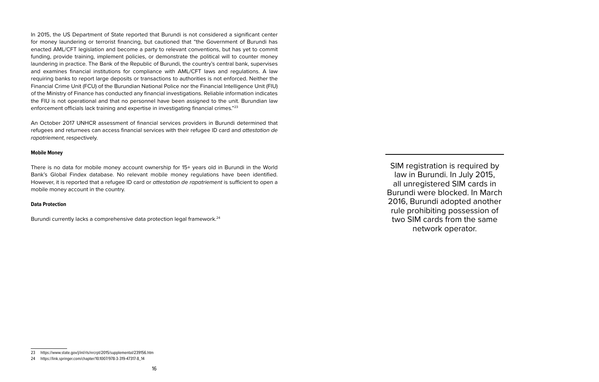In 2015, the US Department of State reported that Burundi is not considered a significant center for money laundering or terrorist financing, but cautioned that "the Government of Burundi has enacted AML/CFT legislation and become a party to relevant conventions, but has yet to commit funding, provide training, implement policies, or demonstrate the political will to counter money laundering in practice. The Bank of the Republic of Burundi, the country's central bank, supervises and examines financial institutions for compliance with AML/CFT laws and regulations. A law requiring banks to report large deposits or transactions to authorities is not enforced. Neither the Financial Crime Unit (FCU) of the Burundian National Police nor the Financial Intelligence Unit (FIU) of the Ministry of Finance has conducted any financial investigations. Reliable information indicates the FIU is not operational and that no personnel have been assigned to the unit. Burundian law enforcement officials lack training and expertise in investigating financial crimes."23

An October 2017 UNHCR assessment of financial services providers in Burundi determined that refugees and returnees can access financial services with their refugee ID card and *attestation de rapatriement*, respectively.

#### **Mobile Money**

There is no data for mobile money account ownership for 15+ years old in Burundi in the World Bank's Global Findex database. No relevant mobile money regulations have been identified. However, it is reported that a refugee ID card or *attestation de rapatriement* is sufficient to open a mobile money account in the country.

#### **Data Protection**

Burundi currently lacks a comprehensive data protection legal framework.<sup>24</sup>

SIM registration is required by law in Burundi. In July 2015, all unregistered SIM cards in Burundi were blocked. In March 2016, Burundi adopted another rule prohibiting possession of two SIM cards from the same network operator.

<sup>23</sup> https://www.state.gov/j/inl/rls/nrcrpt/2015/supplemental/239156.htm

<sup>24</sup> https://link.springer.com/chapter/10.1007/978-3-319-47317-8\_14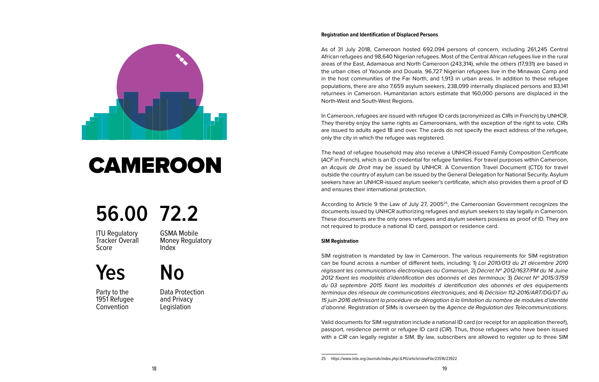<span id="page-11-0"></span>

### **CAMEROON**

### **56.00 72.2**

**ITU Requlatory** Tracker Overall Score

GSMA Mobile Money Regulatory Index

**Yes No**

Party to the 1951 Refugee **Convention** 

Data Protection and Privacy **Legislation** 

#### **Registration and Identification of Displaced Persons**

As of 31 July 2018, Cameroon hosted 692,094 persons of concern, including 261,245 Central African refugees and 98,640 Nigerian refugees. Most of the Central African refugees live in the rural areas of the East, Adamaoua and North Cameroon (243,314), while the others (17,931) are based in the urban cities of Yaounde and Douala. 96,727 Nigerian refugees live in the Minawao Camp and in the host communities of the Far North, and 1,913 in urban areas. In addition to these refugee populations, there are also 7,659 asylum seekers, 238,099 internally displaced persons and 83,141 returnees in Cameroon. Humanitarian actors estimate that 160,000 persons are displaced in the North-West and South-West Regions.

In Cameroon, refugees are issued with refugee ID cards (acronymized as *CIRs* in French) by UNHCR. They thereby enjoy the same rights as Cameroonians, with the exception of the right to vote. *CIRs* are issued to adults aged 18 and over. The cards do not specify the exact address of the refugee, only the city in which the refugee was registered.

The head of refugee household may also receive a UNHCR-issued Family Composition Certificate (*ACF* in French), which is an ID credential for refugee families. For travel purposes within Cameroon, an *Acquis de Droit* may be issued by UNHCR. A Convention Travel Document (CTD) for travel outside the country of asylum can be issued by the General Delegation for National Security. Asylum seekers have an UNHCR-issued asylum seeker's certificate, which also provides them a proof of ID and ensures their international protection.

According to Article 9 the Law of July 27, 200525, the Cameroonian Government recognizes the documents issued by UNHCR authorizing refugees and asylum seekers to stay legally in Cameroon. These documents are the only ones refugees and asylum seekers possess as proof of ID. They are not required to produce a national ID card, passport or residence card.

#### **SIM Registration**

SIM registration is mandated by law in Cameroon. The various requirements for SIM registration can be found across a number of different texts, including: 1) *Loi 2010/013 du 21 décembre 2010 régissant les communications électroniques au Cameroun*, 2) *Décret Nº 2012/1637/PM du 14 Juine 2012 fixant les modalités d'identification des abonnés et des terminaux;* 3) *Décret Nº 2015/3759 du 03 septembre 2015 fixant les modalités d identification des abonnés et des équipements terminaux des réseaux de communications électroniques*, and 4) *Décision 112-2016/ART/DG/DT du 15 juin 2016 définissant la procédure de dérogation à la limitation du nombre de modules d'identité d'abonné.* Registration of SIMs is overseen by the *Agence de Regulation des Telecommunications.*

Valid documents for SIM registration include a national ID card (or receipt for an application thereof), passport, residence permit or refugee ID card (*CIR*). Thus, those refugees who have been issued with a *CIR* can legally register a SIM. By law, subscribers are allowed to register up to three SIM

<sup>25</sup> https://www.iiste.org/Journals/index.php/JLPG/article/viewFile/23516/23922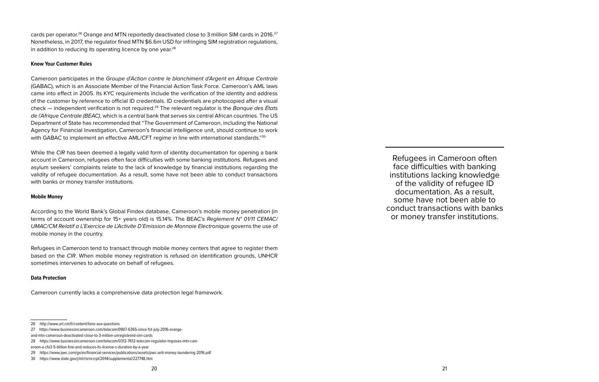cards per operator.<sup>26</sup> Orange and MTN reportedly deactivated close to 3 million SIM cards in 2016.<sup>27</sup> Nonetheless, in 2017, the regulator fined MTN \$6.6m USD for infringing SIM registration regulations, in addition to reducing its operating licence by one year.<sup>28</sup>

#### **Know Your Customer Rules**

Cameroon participates in the *Groupe d'Action contre le blanchiment d'Argent en Afrique Centrale* (GABAC), which is an Associate Member of the Financial Action Task Force. Cameroon's AML laws came into effect in 2005. Its KYC requirements include the verification of the identity and address of the customer by reference to official ID credentials. ID credentials are photocopied after a visual check — independent verification is not required.29 The relevant regulator is the *Banque des États de l'Afrique Centrale (BEAC)*, which is a central bank that serves six central African countries. The US Department of State has recommended that "The Government of Cameroon, including the National Agency for Financial Investigation, Cameroon's financial intelligence unit, should continue to work with GABAC to implement an effective AML/CFT regime in line with international standards."<sup>30</sup>

While the *CIR* has been deemed a legally valid form of identity documentation for opening a bank account in Cameroon, refugees often face difficulties with some banking institutions. Refugees and asylum seekers' complaints relate to the lack of knowledge by financial institutions regarding the validity of refugee documentation. As a result, some have not been able to conduct transactions with banks or money transfer institutions.

#### **Mobile Money**

According to the World Bank's Global Findex database, Cameroon's mobile money penetration (in terms of account ownership for 15+ years old) is 15.14%. The BEAC's *Reglement N° 01/11 CEMAC/ UMAC/CM Relatif a L'Exercice de L'Activite D'Emission de Monnaie Electronique* governs the use of mobile money in the country.

Refugees in Cameroon tend to transact through mobile money centers that agree to register them based on the *CIR*. When mobile money registration is refused on identification grounds, UNHCR sometimes intervenes to advocate on behalf of refugees.

#### **Data Protection**

Cameroon currently lacks a comprehensive data protection legal framework.

Refugees in Cameroon often face difficulties with banking institutions lacking knowledge of the validity of refugee ID documentation. As a result, some have not been able to conduct transactions with banks or money transfer institutions.

<sup>26</sup> http://www.art.cm/fr/content/foire-aux-questions

<sup>27</sup> https://www.businessincameroon.com/telecom/0907-6365-since-1st-july-2016-orange-

and-mtn-cameroun-deactivated-close-to-3-million-unregistered-sim-cards

<sup>28</sup> https://www.businessincameroon.com/telecom/0312-7612-telecom-regulator-imposes-mtn-cam-

eroon-a-cfa3-5-billion-fine-and-reduces-its-license-s-duration-by-a-year

<sup>29</sup> https://www.pwc.com/gx/en/financial-services/publications/assets/pwc-anti-money-laundering-2016.pdf

<sup>30</sup> https://www.state.gov/j/inl/rls/nrcrpt/2014/supplemental/227748.htm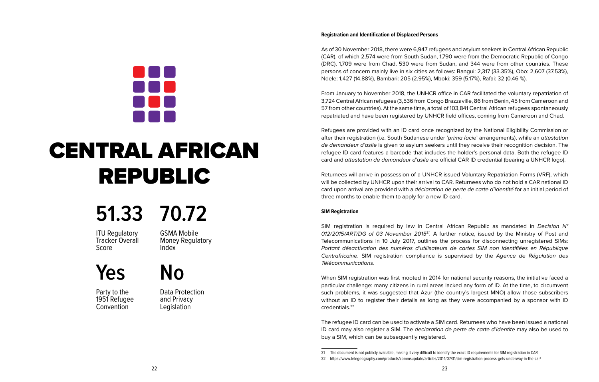As of 30 November 2018, there were 6,947 refugees and asylum seekers in Central African Republic (CAR), of which 2,574 were from South Sudan, 1,790 were from the Democratic Republic of Congo (DRC), 1,709 were from Chad, 530 were from Sudan, and 344 were from other countries. These persons of concern mainly live in six cities as follows: Bangui: 2,317 (33.35%), Obo: 2,607 (37.53%), Ndele: 1,427 (14.88%), Bambari: 205 (2.95%), Mboki: 359 (5.17%), Rafai: 32 (0.46 %).

From January to November 2018, the UNHCR office in CAR facilitated the voluntary repatriation of 3,724 Central African refugees (3,536 from Congo Brazzaville, 86 from Benin, 45 from Cameroon and 57 from other countries). At the same time, a total of 103,841 Central African refugees spontaneously repatriated and have been registered by UNHCR field offices, coming from Cameroon and Chad.

Refugees are provided with an ID card once recognized by the National Eligibility Commission or after their registration (i.e. South Sudanese under '*prima facie*' arrangements), while an *attestation de demandeur d'asile* is given to asylum seekers until they receive their recognition decision. The refugee ID card features a barcode that includes the holder's personal data. Both the refugee ID card and *attestation de demandeur d'asile* are official CAR ID credential (bearing a UNHCR logo).

Returnees will arrive in possession of a UNHCR-issued Voluntary Repatriation Forms (VRF), which will be collected by UNHCR upon their arrival to CAR. Returnees who do not hold a CAR national ID card upon arrival are provided with a *déclaration de perte de carte d'identité* for an initial period of three months to enable them to apply for a new ID card.

#### **SIM Registration**

SIM registration is required by law in Central African Republic as mandated in *Decision N° 012/2015/ART/DG of 03 November 201531.* A further notice, issued by the Ministry of Post and Telecommunications in 10 July 2017, outlines the process for disconnecting unregistered SIMs: *Portant désactivation des numéros d'utilisateurs de cartes SIM non identifiées en République Centrafricaine*. SIM registration compliance is supervised by the *Agence de Régulation des Télécommunications*.

When SIM registration was first mooted in 2014 for national security reasons, the initiative faced a particular challenge: many citizens in rural areas lacked any form of ID. At the time, to circumvent such problems, it was suggested that Azur (the country's largest MNO) allow those subscribers without an ID to register their details as long as they were accompanied by a sponsor with ID credentials.32

The refugee ID card can be used to activate a SIM card. Returnees who have been issued a national ID card may also register a SIM. The *declaration de perte de carte d'identite* may also be used to buy a SIM, which can be subsequently registered.



### <span id="page-13-0"></span>CENTRAL AFRICAN REPUBLIC

### **51.33 70.72**

ITU Regulatory Tracker Overall Score

GSMA Mobile Money Regulatory Index

**Yes No**

Party to the 1951 Refugee **Convention** 

Data Protection and Privacy **Legislation** 

<sup>31</sup> The document is not publicly available, making it very difficult to identify the exact ID requirements for SIM registration in CAR

<sup>32</sup> https://www.telegeography.com/products/commsupdate/articles/2014/07/31/sim-registration-process-gets-underway-in-the-car/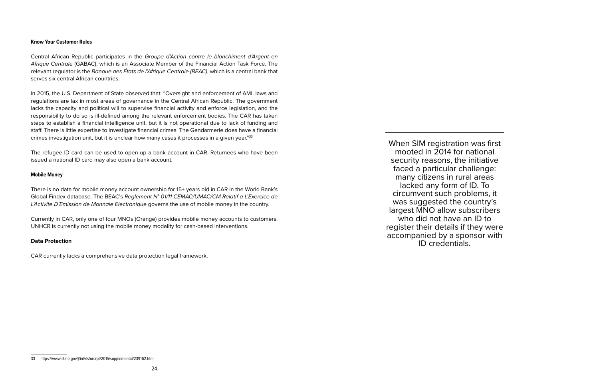#### **Know Your Customer Rules**

Central African Republic participates in the *Groupe d'Action contre le blanchiment d'Argent en Afrique Centrale* (GABAC), which is an Associate Member of the Financial Action Task Force. The relevant regulator is the *Banque des États de l'Afrique Centrale (BEAC)*, which is a central bank that serves six central African countries.

In 2015, the U.S. Department of State observed that: "Oversight and enforcement of AML laws and regulations are lax in most areas of governance in the Central African Republic. The government lacks the capacity and political will to supervise financial activity and enforce legislation, and the responsibility to do so is ill-defined among the relevant enforcement bodies. The CAR has taken steps to establish a financial intelligence unit, but it is not operational due to lack of funding and staff. There is little expertise to investigate financial crimes. The Gendarmerie does have a financial crimes investigation unit, but it is unclear how many cases it processes in a given year."33

The refugee ID card can be used to open up a bank account in CAR. Returnees who have been issued a national ID card may also open a bank account.

#### **Mobile Money**

There is no data for mobile money account ownership for 15+ years old in CAR in the World Bank's Global Findex database. The BEAC's *Reglement N° 01/11 CEMAC/UMAC/CM Relatif a L'Exercice de L'Activite D'Emission de Monnaie Electronique* governs the use of mobile money in the country.

Currently in CAR, only one of four MNOs (Orange) provides mobile money accounts to customers. UNHCR is currently not using the mobile money modality for cash-based interventions.

#### **Data Protection**

CAR currently lacks a comprehensive data protection legal framework.

When SIM registration was first mooted in 2014 for national security reasons, the initiative faced a particular challenge: many citizens in rural areas lacked any form of ID. To circumvent such problems, it was suggested the country's largest MNO allow subscribers who did not have an ID to register their details if they were accompanied by a sponsor with ID credentials.

<sup>33</sup> https://www.state.gov/j/inl/rls/nrcrpt/2015/supplemental/239162.htm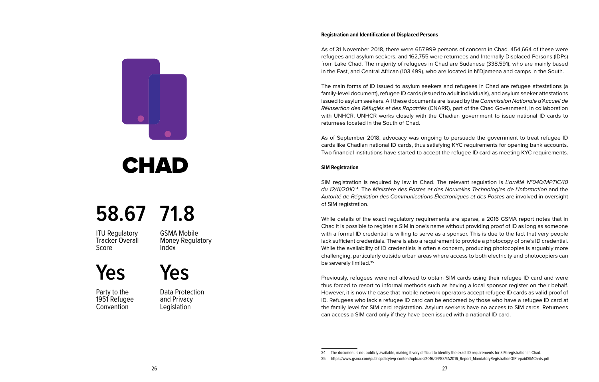As of 31 November 2018, there were 657,999 persons of concern in Chad. 454,664 of these were refugees and asylum seekers, and 162,755 were returnees and Internally Displaced Persons (IDPs) from Lake Chad. The majority of refugees in Chad are Sudanese (338,591), who are mainly based in the East, and Central African (103,499), who are located in N'Djamena and camps in the South.

The main forms of ID issued to asylum seekers and refugees in Chad are refugee attestations (a family-level document), refugee ID cards (issued to adult individuals), and asylum seeker attestations issued to asylum seekers. All these documents are issued by the *Commission Nationale d'Accueil de Réinsertion des Réfugiés et des Rapatriés* (CNARR), part of the Chad Government, in collaboration with UNHCR. UNHCR works closely with the Chadian government to issue national ID cards to returnees located in the South of Chad.

As of September 2018, advocacy was ongoing to persuade the government to treat refugee ID cards like Chadian national ID cards, thus satisfying KYC requirements for opening bank accounts. Two financial institutions have started to accept the refugee ID card as meeting KYC requirements.

#### **SIM Registration**

SIM registration is required by law in Chad. The relevant regulation is *L'arrêté N°040/MPTIC/10 du 12/11/2010*34. The *Ministère des Postes et des Nouvelles Technologies de l'Information* and the *Autorité de Régulation des Communications Électroniques et des Postes* are involved in oversight of SIM registration.

While details of the exact regulatory requirements are sparse, a 2016 GSMA report notes that in Chad it is possible to register a SIM in one's name without providing proof of ID as long as someone with a formal ID credential is willing to serve as a sponsor. This is due to the fact that very people lack sufficient credentials. There is also a requirement to provide a photocopy of one's ID credential. While the availability of ID credentials is often a concern, producing photocopies is arguably more challenging, particularly outside urban areas where access to both electricity and photocopiers can be severely limited.35

Previously, refugees were not allowed to obtain SIM cards using their refugee ID card and were thus forced to resort to informal methods such as having a local sponsor register on their behalf. However, it is now the case that mobile network operators accept refugee ID cards as valid proof of ID. Refugees who lack a refugee ID card can be endorsed by those who have a refugee ID card at the family level for SIM card registration. Asylum seekers have no access to SIM cards. Returnees can access a SIM card only if they have been issued with a national ID card.

<span id="page-15-0"></span>

### **CHAD**

### **58.67 71.8**

**ITU Requlatory** Tracker Overall Score

GSMA Mobile Money Regulatory Index

**Yes**

Party to the 1951 Refugee **Convention** 

Data Protection and Privacy **Legislation** 

**Yes**

<sup>34</sup> The document is not publicly available, making it very difficult to identify the exact ID requirements for SIM registration in Chad.

<sup>35</sup> https://www.gsma.com/publicpolicy/wp-content/uploads/2016/04/GSMA2016\_Report\_MandatoryRegistrationOfPrepaidSIMCards.pdf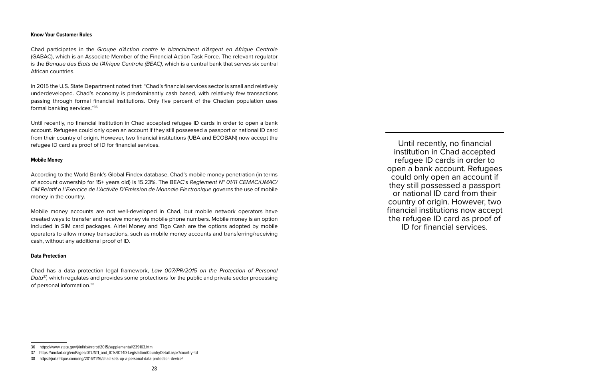#### **Know Your Customer Rules**

Chad participates in the *Groupe d'Action contre le blanchiment d'Argent en Afrique Centrale* (GABAC), which is an Associate Member of the Financial Action Task Force. The relevant regulator is the *Banque des États de l'Afrique Centrale (BEAC)*, which is a central bank that serves six central African countries.

In 2015 the U.S. State Department noted that: "Chad's financial services sector is small and relatively underdeveloped. Chad's economy is predominantly cash based, with relatively few transactions passing through formal financial institutions. Only five percent of the Chadian population uses formal banking services."36

Until recently, no financial institution in Chad accepted refugee ID cards in order to open a bank account. Refugees could only open an account if they still possessed a passport or national ID card from their country of origin. However, two financial institutions (UBA and ECOBAN) now accept the refugee ID card as proof of ID for financial services.

#### **Mobile Money**

According to the World Bank's Global Findex database, Chad's mobile money penetration (in terms of account ownership for 15+ years old) is 15.23%. The BEAC's *Reglement N° 01/11 CEMAC/UMAC/ CM Relatif a L'Exercice de L'Activite D'Emission de Monnaie Electronique* governs the use of mobile money in the country.

Mobile money accounts are not well-developed in Chad, but mobile network operators have created ways to transfer and receive money via mobile phone numbers. Mobile money is an option included in SIM card packages. Airtel Money and Tigo Cash are the options adopted by mobile operators to allow money transactions, such as mobile money accounts and transferring/receiving cash, without any additional proof of ID.

#### **Data Protection**

Chad has a data protection legal framework, *Law 007/PR/2015 on the Protection of Personal Data37,* which regulates and provides some protections for the public and private sector processing of personal information.38

Until recently, no financial institution in Chad accepted refugee ID cards in order to open a bank account. Refugees could only open an account if they still possessed a passport or national ID card from their country of origin. However, two financial institutions now accept the refugee ID card as proof of ID for financial services.

<sup>36</sup> https://www.state.gov/j/inl/rls/nrcrpt/2015/supplemental/239163.htm

<sup>37</sup> https://unctad.org/en/Pages/DTL/STI\_and\_ICTs/ICT4D-Legislation/CountryDetail.aspx?country=td

<sup>38</sup> https://juriafrique.com/eng/2016/11/16/chad-sets-up-a-personal-data-protection-device/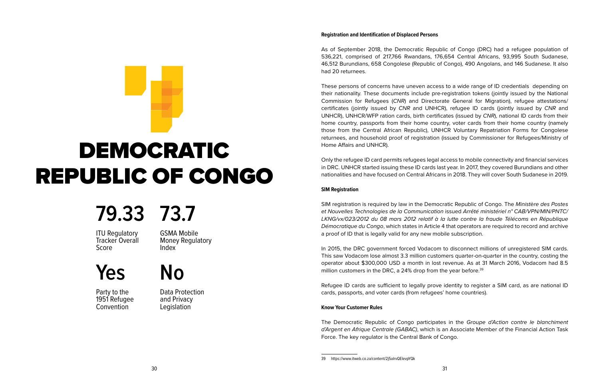As of September 2018, the Democratic Republic of Congo (DRC) had a refugee population of 536,221, comprised of 217,766 Rwandans, 176,654 Central Africans, 93,995 South Sudanese, 46,512 Burundians, 658 Congolese (Republic of Congo), 490 Angolans, and 146 Sudanese. It also had 20 returnees.

These persons of concerns have uneven access to a wide range of ID credentials depending on their nationality. These documents include pre-registration tokens (jointly issued by the National Commission for Refugees (*CNR*) and Directorate General for Migration), refugee attestations/ certificates (jointly issued by *CNR* and UNHCR), refugee ID cards (jointly issued by *CNR* and UNHCR), UNHCR/WFP ration cards, birth certificates (issued by *CNR*), national ID cards from their home country, passports from their home country, voter cards from their home country (namely those from the Central African Republic), UNHCR Voluntary Repatriation Forms for Congolese returnees, and household proof of registration (issued by Commissioner for Refugees/Ministry of Home Affairs and UNHCR).

Only the refugee ID card permits refugees legal access to mobile connectivity and financial services in DRC. UNHCR started issuing these ID cards last year. In 2017, they covered Burundians and other nationalities and have focused on Central Africans in 2018. They will cover South Sudanese in 2019.

#### **SIM Registration**

SIM registration is required by law in the Democratic Republic of Congo. The *Ministère des Postes et Nouvelles Technologies de la Communication* issued *Arrêté ministériel n° CAB/VPN/MIN/PNTC/ LKNG/vx/023/2012 du 08 mars 2012 relatif à la lutte contre la fraude Télécoms en République Démocratique du Congo*, which states in Article 4 that operators are required to record and archive a proof of ID that is legally valid for any new mobile subscription.

In 2015, the DRC government forced Vodacom to disconnect millions of unregistered SIM cards. This saw Vodacom lose almost 3.3 million customers quarter-on-quarter in the country, costing the operator about \$300,000 USD a month in lost revenue. As at 31 March 2016, Vodacom had 8.5 million customers in the DRC, a 24% drop from the year before.<sup>39</sup>

Refugee ID cards are sufficient to legally prove identity to register a SIM card, as are national ID cards, passports, and voter cards (from refugees' home countries).

#### **Know Your Customer Rules**

The Democratic Republic of Congo participates in the *Groupe d'Action contre le blanchiment d'Argent en Afrique Centrale (GABAC)*, which is an Associate Member of the Financial Action Task Force. The key regulator is the Central Bank of Congo.

<span id="page-17-0"></span>

### **79.33 73.7**

**ITU Regulatory** Tracker Overall Score

GSMA Mobile Money Regulatory Index

**Yes No**

Party to the 1951 Refugee **Convention** 

Data Protection and Privacy **Legislation** 

<sup>39</sup> https://www.itweb.co.za/content/2j5alrvQElevpYQk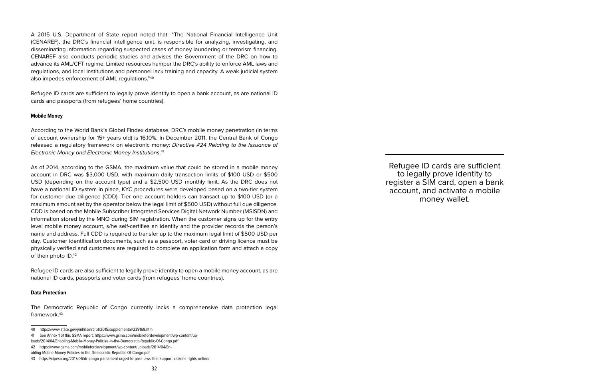A 2015 U.S. Department of State report noted that: "The National Financial Intelligence Unit (CENAREF), the DRC's financial intelligence unit, is responsible for analyzing, investigating, and disseminating information regarding suspected cases of money laundering or terrorism financing. CENAREF also conducts periodic studies and advises the Government of the DRC on how to advance its AML/CFT regime. Limited resources hamper the DRC's ability to enforce AML laws and regulations, and local institutions and personnel lack training and capacity. A weak judicial system also impedes enforcement of AML regulations."40

Refugee ID cards are sufficient to legally prove identity to open a bank account, as are national ID cards and passports (from refugees' home countries).

#### **Mobile Money**

According to the World Bank's Global Findex database, DRC's mobile money penetration (in terms of account ownership for 15+ years old) is 16.10%. In December 2011, the Central Bank of Congo released a regulatory framework on electronic money: *Directive #24 Relating to the Issuance of Electronic Money and Electronic Money Institutions*. 41

As of 2014, according to the GSMA, the maximum value that could be stored in a mobile money account in DRC was \$3,000 USD, with maximum daily transaction limits of \$100 USD or \$500 USD (depending on the account type) and a \$2,500 USD monthly limit. As the DRC does not have a national ID system in place, KYC procedures were developed based on a two-tier system for customer due diligence (CDD). Tier one account holders can transact up to \$100 USD (or a maximum amount set by the operator below the legal limit of \$500 USD) without full due diligence. CDD is based on the Mobile Subscriber Integrated Services Digital Network Number (MSISDN) and information stored by the MNO during SIM registration. When the customer signs up for the entry level mobile money account, s/he self-certifies an identity and the provider records the person's name and address. Full CDD is required to transfer up to the maximum legal limit of \$500 USD per day. Customer identification documents, such as a passport, voter card or driving licence must be physically verified and customers are required to complete an application form and attach a copy of their photo ID.42

Refugee ID cards are also sufficient to legally prove identity to open a mobile money account, as are national ID cards, passports and voter cards (from refugees' home countries).

#### **Data Protection**

The Democratic Republic of Congo currently lacks a comprehensive data protection legal framework.43

Refugee ID cards are sufficient to legally prove identity to register a SIM card, open a bank account, and activate a mobile money wallet.

<sup>40</sup> https://www.state.gov/j/inl/rls/nrcrpt/2015/supplemental/239169.htm

<sup>41</sup> See Annex 1 of this GSMA report: https://www.gsma.com/mobilefordevelopment/wp-content/up-

loads/2014/04/Enabling-Mobile-Money-Policies-in-the-Democratic-Republic-Of-Congo.pdf

<sup>42</sup> https://www.gsma.com/mobilefordevelopment/wp-content/uploads/2014/04/En-

abling-Mobile-Money-Policies-in-the-Democratic-Republic-Of-Congo.pdf

<sup>43</sup> https://cipesa.org/2017/06/dr-congo-parliament-urged-to-pass-laws-that-support-citizens-rights-online/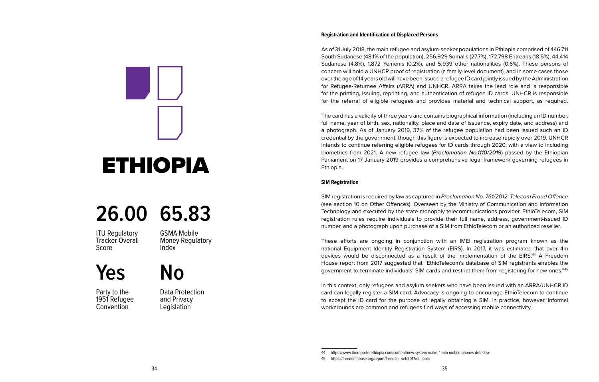As of 31 July 2018, the main refugee and asylum-seeker populations in Ethiopia comprised of 446,711 South Sudanese (48.1% of the population), 256,929 Somalis (27.7%), 172,798 Eritreans (18.6%), 44,414 Sudanese (4.8%), 1,872 Yemenis (0.2%), and 5,939 other nationalities (0.6%). These persons of concern will hold a UNHCR proof of registration (a family-level document), and in some cases those over the age of 14 years old will have been issued a refugee ID card jointly issued by the Administration for Refugee-Returnee Affairs (ARRA) and UNHCR. ARRA takes the lead role and is responsible for the printing, issuing, reprinting, and authentication of refugee ID cards. UNHCR is responsible for the referral of eligible refugees and provides material and technical support, as required.

The card has a validity of three years and contains biographical information (including an ID number, full name, year of birth, sex, nationality, place and date of issuance, expiry date, and address) and a photograph. As of January 2019, 37% of the refugee population had been issued such an ID credential by the government, though this figure is expected to increase rapidly over 2019. UNHCR intends to continue referring eligible refugees for ID cards through 2020, with a view to including biometrics from 2021. A new refugee law (*Proclamation No.1110/2019*) passed by the Ethiopian Parliament on 17 January 2019 provides a comprehensive legal framework governing refugees in Ethiopia.

#### **SIM Registration**

SIM registration is required by law as captured in *Proclamation No. 761/2012: Telecom Fraud Offence* (see section 10 on Other Offences). Overseen by the Ministry of Communication and Information Technology and executed by the state monopoly telecommunications provider, EthioTelecom, SIM registration rules require individuals to provide their full name, address, government-issued ID number, and a photograph upon purchase of a SIM from EthioTelecom or an authorized reseller.

These efforts are ongoing in conjunction with an IMEI registration program known as the national Equipment Identity Registration System (EIRS). In 2017, it was estimated that over 4m devices would be disconnected as a result of the implementation of the EIRS.44 A Freedom House report from 2017 suggested that "EthioTelecom's database of SIM registrants enables the government to terminate individuals' SIM cards and restrict them from registering for new ones."45

In this context, only refugees and asylum seekers who have been issued with an ARRA/UNHCR ID card can legally register a SIM card. Advocacy is ongoing to encourage EthioTelecom to continue to accept the ID card for the purpose of legally obtaining a SIM. In practice, however, informal workarounds are common and refugees find ways of accessing mobile connectivity.

<span id="page-19-0"></span>

### **26.00 65.83**

**ITU Requlatory** Tracker Overall Score

GSMA Mobile Money Regulatory Index

### **Yes No**

Party to the 1951 Refugee **Convention** 

Data Protection and Privacy **Legislation** 

<sup>44</sup> https://www.thereporterethiopia.com/content/new-system-make-4-mln-mobile-phones-defective

<sup>45</sup> https://freedomhouse.org/report/freedom-net/2017/ethiopia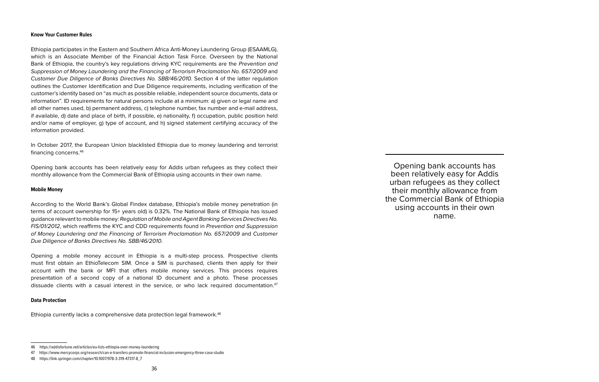#### **Know Your Customer Rules**

Ethiopia participates in the Eastern and Southern Africa Anti-Money Laundering Group (ESAAMLG), which is an Associate Member of the Financial Action Task Force. Overseen by the National Bank of Ethiopia, the country's key regulations driving KYC requirements are the *Prevention and Suppression of Money Laundering and the Financing of Terrorism Proclamation No. 657/2009* and *Customer Due Diligence of Banks Directives No. SBB/46/2010.* Section 4 of the latter regulation outlines the Customer Identification and Due Diligence requirements, including verification of the customer's identity based on "as much as possible reliable, independent source documents, data or information". ID requirements for natural persons include at a minimum: a) given or legal name and all other names used, b) permanent address, c) telephone number, fax number and e-mail address, if available, d) date and place of birth, if possible, e) nationality, f) occupation, public position held and/or name of employer, g) type of account, and h) signed statement certifying accuracy of the information provided.

In October 2017, the European Union blacklisted Ethiopia due to money laundering and terrorist financing concerns.46

Opening bank accounts has been relatively easy for Addis urban refugees as they collect their monthly allowance from the Commercial Bank of Ethiopia using accounts in their own name.

#### **Mobile Money**

According to the World Bank's Global Findex database, Ethiopia's mobile money penetration (in terms of account ownership for 15+ years old) is 0.32%. The National Bank of Ethiopia has issued guidance relevant to mobile money: *Regulation of Mobile and Agent Banking Services Directives No. FIS/01/2012*, which reaffirms the KYC and CDD requirements found in *Prevention and Suppression of Money Laundering and the Financing of Terrorism Proclamation No. 657/2009* and *Customer Due Diligence of Banks Directives No. SBB/46/2010*.

Opening a mobile money account in Ethiopia is a multi-step process. Prospective clients must first obtain an EthioTelecom SIM. Once a SIM is purchased, clients then apply for their account with the bank or MFI that offers mobile money services. This process requires presentation of a second copy of a national ID document and a photo. These processes dissuade clients with a casual interest in the service, or who lack required documentation.<sup>47</sup>

#### **Data Protection**

Ethiopia currently lacks a comprehensive data protection legal framework.<sup>48</sup>

Opening bank accounts has been relatively easy for Addis urban refugees as they collect their monthly allowance from the Commercial Bank of Ethiopia using accounts in their own name.

<sup>46</sup> https://addisfortune.net/articles/eu-lists-ethiopia-over-money-laundering

<sup>47</sup> https://www.mercycorps.org/research/can-e-transfers-promote-financial-inclusion-emergency-three-case-studie

<sup>48</sup> https://link.springer.com/chapter/10.1007/978-3-319-47317-8\_7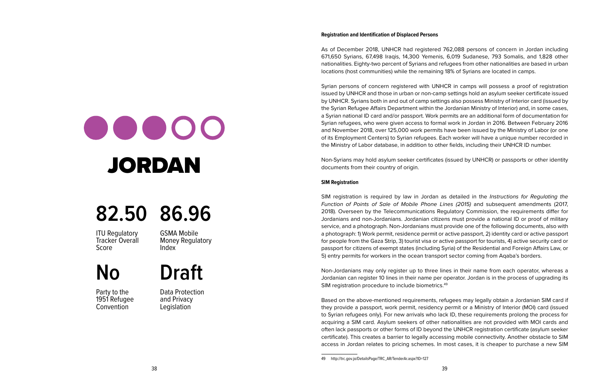## <span id="page-21-0"></span> $\bullet\bullet\bullet\bullet\bullet$ JORDAN

### **82.50 86.96**

**ITU Requlatory** Tracker Overall Score

GSMA Mobile Money Regulatory Index

### **No Draft**

Party to the 1951 Refugee **Convention** 

Data Protection and Privacy **Legislation** 

#### **Registration and Identification of Displaced Persons**

As of December 2018, UNHCR had registered 762,088 persons of concern in Jordan including 671,650 Syrians, 67,498 Iraqis, 14,300 Yemenis, 6,019 Sudanese, 793 Somalis, and 1,828 other nationalities. Eighty-two percent of Syrians and refugees from other nationalities are based in urban locations (host communities) while the remaining 18% of Syrians are located in camps.

Syrian persons of concern registered with UNHCR in camps will possess a proof of registration issued by UNHCR and those in urban or non-camp settings hold an asylum seeker certificate issued by UNHCR. Syrians both in and out of camp settings also possess Ministry of Interior card (issued by the Syrian Refugee Affairs Department within the Jordanian Ministry of Interior) and, in some cases, a Syrian national ID card and/or passport. Work permits are an additional form of documentation for Syrian refugees, who were given access to formal work in Jordan in 2016. Between February 2016 and November 2018, over 125,000 work permits have been issued by the Ministry of Labor (or one of its Employment Centers) to Syrian refugees. Each worker will have a unique number recorded in the Ministry of Labor database, in addition to other fields, including their UNHCR ID number.

Non-Syrians may hold asylum seeker certificates (issued by UNHCR) or passports or other identity documents from their country of origin.

#### **SIM Registration**

SIM registration is required by law in Jordan as detailed in the *Instructions for Regulating the Function of Points of Sale of Mobile Phone Lines (2015)* and subsequent amendments (2017, 2018). Overseen by the Telecommunications Regulatory Commission, the requirements differ for Jordanians and non-Jordanians. Jordanian citizens must provide a national ID or proof of military service, and a photograph. Non-Jordanians must provide one of the following documents, also with a photograph: 1) Work permit, residence permit or active passport, 2) identity card or active passport for people from the Gaza Strip, 3) tourist visa or active passport for tourists, 4) active security card or passport for citizens of exempt states (including Syria) of the Residential and Foreign Affairs Law, or 5) entry permits for workers in the ocean transport sector coming from Aqaba's borders.

Non-Jordanians may only register up to three lines in their name from each operator, whereas a Jordanian can register 10 lines in their name per operator. Jordan is in the process of upgrading its SIM registration procedure to include biometrics.<sup>49</sup>

Based on the above-mentioned requirements, refugees may legally obtain a Jordanian SIM card if they provide a passport, work permit, residency permit or a Ministry of Interior (MOI) card (issued to Syrian refugees only). For new arrivals who lack ID, these requirements prolong the process for acquiring a SIM card. Asylum seekers of other nationalities are not provided with MOI cards and often lack passports or other forms of ID beyond the UNHCR registration certificate (asylum seeker certificate). This creates a barrier to legally accessing mobile connectivity. Another obstacle to SIM access in Jordan relates to pricing schemes. In most cases, it is cheaper to purchase a new SIM

<sup>49</sup> http://trc.gov.jo/DetailsPage/TRC\_AR/TenderAr.aspx?ID=127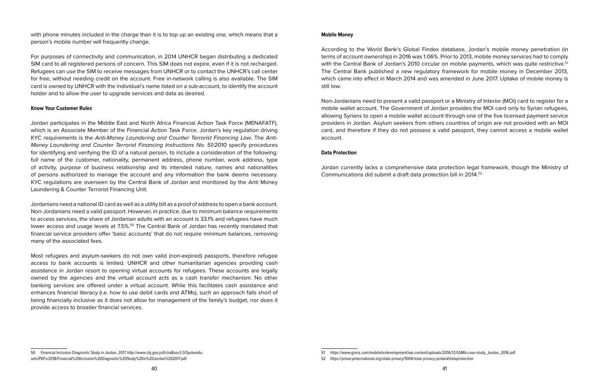with phone minutes included in the charge than it is to top up an existing one, which means that a person's mobile number will frequently change.

For purposes of connectivity and communication, in 2014 UNHCR began distributing a dedicated SIM card to all registered persons of concern. This SIM does not expire, even if it is not recharged. Refugees can use the SIM to receive messages from UNHCR or to contact the UNHCR's call center for free, without needing credit on the account. Free in-network calling is also available. The SIM card is owned by UNHCR with the individual's name listed on a sub-account, to identify the account holder and to allow the user to upgrade services and data as desired.

#### **Know Your Customer Rules**

Jordan participates in the Middle East and North Africa Financial Action Task Force (MENAFATF), which is an Associate Member of the Financial Action Task Force. Jordan's key regulation driving KYC requirements is the *Anti-Money Laundering and Counter Terrorist Financing Law*. The *Anti-Money Laundering and Counter Terrorist Financing Instructions No. 51/2010 specify procedures* for identifying and verifying the ID of a natural person, to include a consideration of the following: full name of the customer, nationality, permanent address, phone number, work address, type of activity, purpose of business relationship and its intended nature, names and nationalities of persons authorized to manage the account and any information the bank deems necessary. KYC regulations are overseen by the Central Bank of Jordan and monitored by the Anti Money Laundering & Counter Terrorist Financing Unit.

Jordanians need a national ID card as well as a utility bill as a proof of address to open a bank account. Non-Jordanians need a valid passport. However, in practice, due to minimum balance requirements to access services, the share of Jordanian adults with an account is 33.1% and refugees have much lower access and usage levels at 7.5%.<sup>50</sup> The Central Bank of Jordan has recently mandated that financial service providers offer 'basic accounts' that do not require minimum balances, removing many of the associated fees.

Most refugees and asylum-seekers do not own valid (non-expired) passports, therefore refugee access to bank accounts is limited. UNHCR and other humanitarian agencies providing cash assistance in Jordan resort to opening virtual accounts for refugees. These accounts are legally owned by the agencies and the virtual account acts as a cash transfer mechanism. No other banking services are offered under a virtual account. While this facilitates cash assistance and enhances financial literacy (i.e. how to use debit cards and ATMs), such an approach falls short of being financially inclusive as it does not allow for management of the family's budget, nor does it provide access to broader financial services.

#### **Mobile Money**

According to the World Bank's Global Findex database, Jordan's mobile money penetration (in terms of account ownership) in 2016 was 1.06%. Prior to 2013, mobile money services had to comply with the Central Bank of Jordan's 2010 circular on mobile payments, which was quite restrictive.<sup>51</sup> The Central Bank published a new regulatory framework for mobile money in December 2013, which came into effect in March 2014 and was amended in June 2017. Uptake of mobile money is still low.

Non-Jordanians need to present a valid passport or a Ministry of Interior (MOI) card to register for a mobile wallet account. The Government of Jordan provides the MOI card only to Syrian refugees, allowing Syrians to open a mobile wallet account through one of the five licensed payment service providers in Jordan. Asylum seekers from others countries of origin are not provided with an MOI card, and therefore if they do not possess a valid passport, they cannot access a mobile wallet account.

#### **Data Protection**

Jordan currently lacks a comprehensive data protection legal framework, though the Ministry of Communications did submit a draft data protection bill in 2014.52

<sup>50</sup> Financial Inclusion Diagnostic Study in Jordan, 2017 http://www.cbj.gov.jo/EchoBusv3.0/SystemAssets/PDFs/2018/Financial%20Inclusion%20Diagnostic%20Study%20in%20Jordan%202017.pdf

<sup>52</sup> https://privacyinternational.org/state-privacy/1004/state-privacy-jordan#dataprotection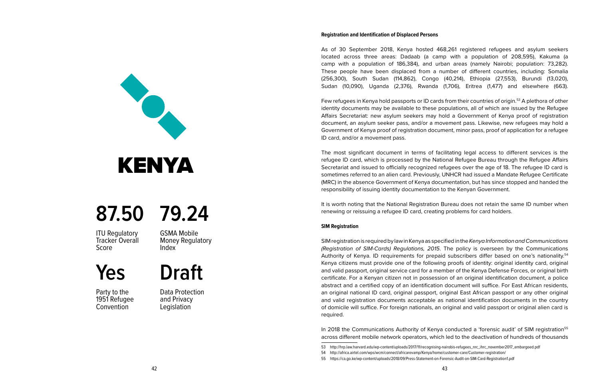As of 30 September 2018, Kenya hosted 468,261 registered refugees and asylum seekers located across three areas: Dadaab (a camp with a population of 208,595), Kakuma (a camp with a population of 186,384), and urban areas (namely Nairobi; population: 73,282). These people have been displaced from a number of different countries, including: Somalia (256,300), South Sudan (114,862), Congo (40,214), Ethiopia (27,553), Burundi (13,020), Sudan (10,090), Uganda (2,376), Rwanda (1,706), Eritrea (1,477) and elsewhere (663).

Few refugees in Kenya hold passports or ID cards from their countries of origin.<sup>53</sup> A plethora of other identity documents may be available to these populations, all of which are issued by the Refugee Affairs Secretariat: new asylum seekers may hold a Government of Kenya proof of registration document, an asylum seeker pass, and/or a movement pass. Likewise, new refugees may hold a Government of Kenya proof of registration document, minor pass, proof of application for a refugee ID card, and/or a movement pass.

The most significant document in terms of facilitating legal access to different services is the refugee ID card, which is processed by the National Refugee Bureau through the Refugee Affairs Secretariat and issued to officially recognized refugees over the age of 18. The refugee ID card is sometimes referred to an alien card. Previously, UNHCR had issued a Mandate Refugee Certificate (MRC) in the absence Government of Kenya documentation, but has since stopped and handed the responsibility of issuing identity documentation to the Kenyan Government.

It is worth noting that the National Registration Bureau does not retain the same ID number when renewing or reissuing a refugee ID card, creating problems for card holders.

#### **SIM Registration**

SIM registration is required by law in Kenya as specified in the *Kenya Information and Communications (Registration of SIM-Cards) Regulations, 2015*. The policy is overseen by the Communications Authority of Kenya. ID requirements for prepaid subscribers differ based on one's nationality.<sup>54</sup> Kenya citizens must provide one of the following proofs of identity: original identity card, original and valid passport, original service card for a member of the Kenya Defense Forces, or original birth certificate. For a Kenyan citizen not in possession of an original identification document, a police abstract and a certified copy of an identification document will suffice. For East African residents, an original national ID card, original passport, original East African passport or any other original and valid registration documents acceptable as national identification documents in the country of domicile will suffice. For foreign nationals, an original and valid passport or original alien card is required.

In 2018 the Communications Authority of Kenya conducted a 'forensic audit' of SIM registration<sup>55</sup> across different mobile network operators, which led to the deactivation of hundreds of thousands

<span id="page-23-0"></span>

### **87.50 79.24**

ITU Regulatory Tracker Overall Score

GSMA Mobile Money Regulatory Index

**Draft**

**Yes**

Party to the 1951 Refugee **Convention** 

Data Protection and Privacy **Legislation** 

<sup>53</sup> http://hrp.law.harvard.edu/wp-content/uploads/2017/11/recognising-nairobis-refugees\_nrc\_ihrc\_november2017\_embargoed.pdf

<sup>54</sup> http://africa.airtel.com/wps/wcm/connect/africarevamp/Kenya/home/customer-care/Customer-registration/

<sup>55</sup> https://ca.go.ke/wp-content/uploads/2018/09/Press-Statement-on-Forensic-Audit-on-SIM-Card-Registration1.pdf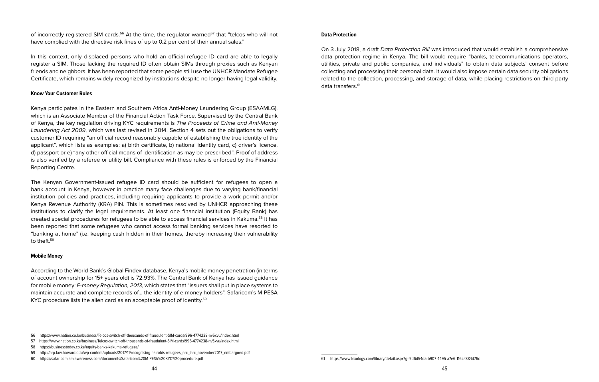of incorrectly registered SIM cards.<sup>56</sup> At the time, the regulator warned<sup>57</sup> that "telcos who will not have complied with the directive risk fines of up to 0.2 per cent of their annual sales."

In this context, only displaced persons who hold an official refugee ID card are able to legally register a SIM. Those lacking the required ID often obtain SIMs through proxies such as Kenyan friends and neighbors. It has been reported that some people still use the UNHCR Mandate Refugee Certificate, which remains widely recognized by institutions despite no longer having legal validity.

#### **Know Your Customer Rules**

Kenya participates in the Eastern and Southern Africa Anti-Money Laundering Group (ESAAMLG), which is an Associate Member of the Financial Action Task Force. Supervised by the Central Bank of Kenya, the key regulation driving KYC requirements is *The Proceeds of Crime and Anti-Money Laundering Act 2009*, which was last revised in 2014. Section 4 sets out the obligations to verify customer ID requiring "an official record reasonably capable of establishing the true identity of the applicant", which lists as examples: a) birth certificate, b) national identity card, c) driver's licence, d) passport or e) "any other official means of identification as may be prescribed". Proof of address is also verified by a referee or utility bill. Compliance with these rules is enforced by the Financial Reporting Centre.

The Kenyan Government-issued refugee ID card should be sufficient for refugees to open a bank account in Kenya, however in practice many face challenges due to varying bank/financial institution policies and practices, including requiring applicants to provide a work permit and/or Kenya Revenue Authority (KRA) PIN. This is sometimes resolved by UNHCR approaching these institutions to clarify the legal requirements. At least one financial institution (Equity Bank) has created special procedures for refugees to be able to access financial services in Kakuma.58 It has been reported that some refugees who cannot access formal banking services have resorted to "banking at home" (i.e. keeping cash hidden in their homes, thereby increasing their vulnerability to theft  $59$ 

#### **Mobile Money**

According to the World Bank's Global Findex database, Kenya's mobile money penetration (in terms of account ownership for 15+ years old) is 72.93%. The Central Bank of Kenya has issued guidance for mobile money: *E-money Regulation, 2013*, which states that "issuers shall put in place systems to maintain accurate and complete records of… the identity of e-money holders". Safaricom's M-PESA KYC procedure lists the alien card as an acceptable proof of identity.<sup>60</sup>

#### **Data Protection**

On 3 July 2018, a draft *Data Protection Bill* was introduced that would establish a comprehensive data protection regime in Kenya. The bill would require "banks, telecommunications operators, utilities, private and public companies, and individuals" to obtain data subjects' consent before collecting and processing their personal data. It would also impose certain data security obligations related to the collection, processing, and storage of data, while placing restrictions on third-party data transfers.<sup>61</sup>

<sup>56</sup> https://www.nation.co.ke/business/Telcos-switch-off-thousands-of-fraudulent-SIM-cards/996-4774238-nv5xvu/index.html

<sup>57</sup> https://www.nation.co.ke/business/Telcos-switch-off-thousands-of-fraudulent-SIM-cards/996-4774238-nv5xvu/index.html

<sup>58</sup> https://businesstoday.co.ke/equity-banks-kakuma-refugees/

<sup>59</sup> http://hrp.law.harvard.edu/wp-content/uploads/2017/11/recognising-nairobis-refugees\_nrc\_ihrc\_november2017\_embargoed.pdf

<sup>60</sup> https://safaricom.amlawareness.com/documents/Safaricom%20M-PESA%20KYC%20procedure.pdf

<sup>61</sup> https://www.lexology.com/library/detail.aspx?g=9d6d54da-b907-4495-a7e6-116ca884d76c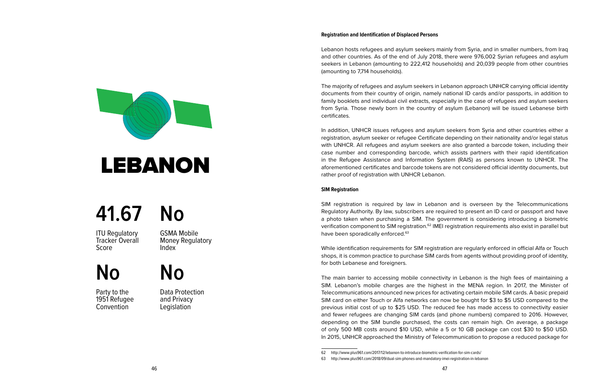Lebanon hosts refugees and asylum seekers mainly from Syria, and in smaller numbers, from Iraq and other countries. As of the end of July 2018, there were 976,002 Syrian refugees and asylum seekers in Lebanon (amounting to 222,412 households) and 20,039 people from other countries (amounting to 7,714 households).

The majority of refugees and asylum seekers in Lebanon approach UNHCR carrying official identity documents from their country of origin, namely national ID cards and/or passports, in addition to family booklets and individual civil extracts, especially in the case of refugees and asylum seekers from Syria. Those newly born in the country of asylum (Lebanon) will be issued Lebanese birth certificates.

In addition, UNHCR issues refugees and asylum seekers from Syria and other countries either a registration, asylum seeker or refugee Certificate depending on their nationality and/or legal status with UNHCR. All refugees and asylum seekers are also granted a barcode token, including their case number and corresponding barcode, which assists partners with their rapid identification in the Refugee Assistance and Information System (RAIS) as persons known to UNHCR. The aforementioned certificates and barcode tokens are not considered official identity documents, but rather proof of registration with UNHCR Lebanon.

#### **SIM Registration**

SIM registration is required by law in Lebanon and is overseen by the Telecommunications Regulatory Authority. By law, subscribers are required to present an ID card or passport and have a photo taken when purchasing a SIM. The government is considering introducing a biometric verification component to SIM registration.<sup>62</sup> IMEI registration requirements also exist in parallel but have been sporadically enforced.<sup>63</sup>

While identification requirements for SIM registration are regularly enforced in official Alfa or Touch shops, it is common practice to purchase SIM cards from agents without providing proof of identity, for both Lebanese and foreigners.

The main barrier to accessing mobile connectivity in Lebanon is the high fees of maintaining a SIM. Lebanon's mobile charges are the highest in the MENA region. In 2017, the Minister of Telecommunications announced new prices for activating certain mobile SIM cards. A basic prepaid SIM card on either Touch or Alfa networks can now be bought for \$3 to \$5 USD compared to the previous initial cost of up to \$25 USD. The reduced fee has made access to connectivity easier and fewer refugees are changing SIM cards (and phone numbers) compared to 2016. However, depending on the SIM bundle purchased, the costs can remain high. On average, a package of only 500 MB costs around \$10 USD, while a 5 or 10 GB package can cost \$30 to \$50 USD. In 2015, UNHCR approached the Ministry of Telecommunication to propose a reduced package for

<span id="page-25-0"></span>

# LEBANON

### **41.67 No**

**ITU Requlatory** Tracker Overall Score

GSMA Mobile Money Regulatory Index

### **No**

Party to the 1951 Refugee **Convention** 

Data Protection and Privacy **Legislation** 

**No**

<sup>62</sup> http://www.plus961.com/2017/12/lebanon-to-introduce-biometric-verification-for-sim-cards/

<sup>63</sup> http://www.plus961.com/2018/09/dual-sim-phones-and-mandatory-imei-registration-in-lebanon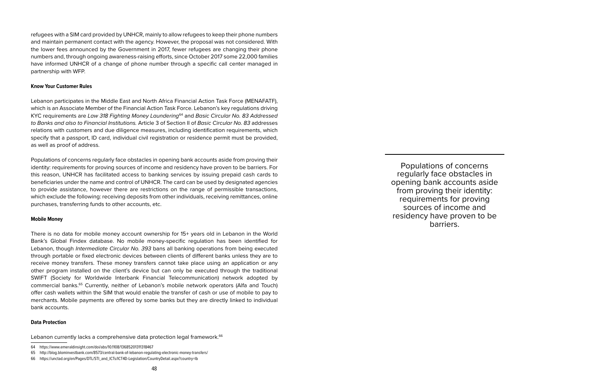refugees with a SIM card provided by UNHCR, mainly to allow refugees to keep their phone numbers and maintain permanent contact with the agency. However, the proposal was not considered. With the lower fees announced by the Government in 2017, fewer refugees are changing their phone numbers and, through ongoing awareness-raising efforts, since October 2017 some 22,000 families have informed UNHCR of a change of phone number through a specific call center managed in partnership with WFP.

#### **Know Your Customer Rules**

Lebanon participates in the Middle East and North Africa Financial Action Task Force (MENAFATF), which is an Associate Member of the Financial Action Task Force. Lebanon's key regulations driving KYC requirements are *Law 318 Fighting Money Laundering*64 and *Basic Circular No. 83 Addressed to Banks and also to Financial Institutions.* Article 3 of Section II of *Basic Circular No. 83* addresses relations with customers and due diligence measures, including identification requirements, which specify that a passport, ID card, individual civil registration or residence permit must be provided, as well as proof of address.

Populations of concerns regularly face obstacles in opening bank accounts aside from proving their identity: requirements for proving sources of income and residency have proven to be barriers. For this reason, UNHCR has facilitated access to banking services by issuing prepaid cash cards to beneficiaries under the name and control of UNHCR. The card can be used by designated agencies to provide assistance, however there are restrictions on the range of permissible transactions, which exclude the following: receiving deposits from other individuals, receiving remittances, online purchases, transferring funds to other accounts, etc.

#### **Mobile Money**

There is no data for mobile money account ownership for 15+ years old in Lebanon in the World Bank's Global Findex database. No mobile money-specific regulation has been identified for Lebanon, though *Intermediate Circular No. 393* bans all banking operations from being executed through portable or fixed electronic devices between clients of different banks unless they are to receive money transfers. These money transfers cannot take place using an application or any other program installed on the client's device but can only be executed through the traditional SWIFT (Society for Worldwide Interbank Financial Telecommunication) network adopted by commercial banks.65 Currently, neither of Lebanon's mobile network operators (Alfa and Touch) offer cash wallets within the SIM that would enable the transfer of cash or use of mobile to pay to merchants. Mobile payments are offered by some banks but they are directly linked to individual bank accounts.

#### **Data Protection**

Lebanon currently lacks a comprehensive data protection legal framework.<sup>66</sup>

48

Populations of concerns regularly face obstacles in opening bank accounts aside from proving their identity: requirements for proving sources of income and residency have proven to be barriers.

<sup>64</sup> https://www.emeraldinsight.com/doi/abs/10.1108/13685201311318467

<sup>65</sup> http://blog.blominvestbank.com/8573/central-bank-of-lebanon-regulating-electronic-money-transfers/

<sup>66</sup> https://unctad.org/en/Pages/DTL/STI\_and\_ICTs/ICT4D-Legislation/CountryDetail.aspx?country=lb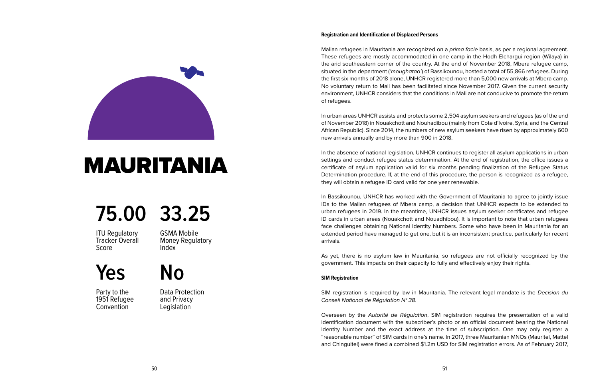Malian refugees in Mauritania are recognized on a *prima facie* basis, as per a regional agreement. These refugees are mostly accommodated in one camp in the Hodh Elchargui region (Wilaya) in the arid southeastern corner of the country. At the end of November 2018, Mbera refugee camp, situated in the department (*'moughataa'*) of Bassikounou, hosted a total of 55,866 refugees. During the first six months of 2018 alone, UNHCR registered more than 5,000 new arrivals at Mbera camp. No voluntary return to Mali has been facilitated since November 2017. Given the current security environment, UNHCR considers that the conditions in Mali are not conducive to promote the return of refugees.

In urban areas UNHCR assists and protects some 2,504 asylum seekers and refugees (as of the end of November 2018) in Nouakchott and Nouhadibou (mainly from Cote d'Ivoire, Syria, and the Central African Republic). Since 2014, the numbers of new asylum seekers have risen by approximately 600 new arrivals annually and by more than 900 in 2018.

In the absence of national legislation, UNHCR continues to register all asylum applications in urban settings and conduct refugee status determination. At the end of registration, the office issues a certificate of asylum application valid for six months pending finalization of the Refugee Status Determination procedure. If, at the end of this procedure, the person is recognized as a refugee, they will obtain a refugee ID card valid for one year renewable.

In Bassikounou, UNHCR has worked with the Government of Mauritania to agree to jointly issue IDs to the Malian refugees of Mbera camp, a decision that UNHCR expects to be extended to urban refugees in 2019. In the meantime, UNHCR issues asylum seeker certificates and refugee ID cards in urban areas (Nouakchott and Nouadhibou). It is important to note that urban refugees face challenges obtaining National Identity Numbers. Some who have been in Mauritania for an extended period have managed to get one, but it is an inconsistent practice, particularly for recent arrivals.

As yet, there is no asylum law in Mauritania, so refugees are not officially recognized by the government. This impacts on their capacity to fully and effectively enjoy their rights.

#### **SIM Registration**

SIM registration is required by law in Mauritania. The relevant legal mandate is the *Decision du Conseil National de Régulation N° 38*.

Overseen by the *Autorité de Régulation*, SIM registration requires the presentation of a valid identification document with the subscriber's photo or an official document bearing the National Identity Number and the exact address at the time of subscription. One may only register a "reasonable number" of SIM cards in one's name. In 2017, three Mauritanian MNOs (Mauritel, Mattel and Chinguitel) were fined a combined \$1.2m USD for SIM registration errors. As of February 2017,

<span id="page-27-0"></span>

### MAURITANIA

### **75.00 33.25**

**ITU Requlatory** Tracker Overall Score

GSMA Mobile Money Regulatory Index

**Yes No**

Party to the 1951 Refugee **Convention** 

Data Protection and Privacy **Legislation**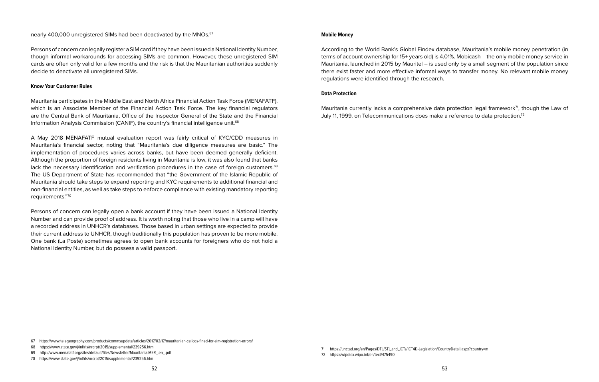#### **Mobile Money**

According to the World Bank's Global Findex database, Mauritania's mobile money penetration (in terms of account ownership for 15+ years old) is 4.01%. Mobicash – the only mobile money service in Mauritania, launched in 2015 by Mauritel – is used only by a small segment of the population since there exist faster and more effective informal ways to transfer money. No relevant mobile money regulations were identified through the research.

#### **Data Protection**

Mauritania currently lacks a comprehensive data protection legal framework<sup>71</sup>, though the Law of July 11, 1999, on Telecommunications does make a reference to data protection.72

Mauritania participates in the Middle East and North Africa Financial Action Task Force (MENAFATF), which is an Associate Member of the Financial Action Task Force. The key financial regulators are the Central Bank of Mauritania, Office of the Inspector General of the State and the Financial Information Analysis Commission (CANIF), the country's financial intelligence unit.68

Persons of concern can legally register a SIM card if they have been issued a National Identity Number, though informal workarounds for accessing SIMs are common. However, these unregistered SIM cards are often only valid for a few months and the risk is that the Mauritanian authorities suddenly

nearly 400,000 unregistered SIMs had been deactivated by the MNOs.<sup>67</sup>

decide to deactivate all unregistered SIMs.

**Know Your Customer Rules**

A May 2018 MENAFATF mutual evaluation report was fairly critical of KYC/CDD measures in Mauritania's financial sector, noting that "Mauritania's due diligence measures are basic." The implementation of procedures varies across banks, but have been deemed generally deficient. Although the proportion of foreign residents living in Mauritania is low, it was also found that banks lack the necessary identification and verification procedures in the case of foreign customers.<sup>69</sup> The US Department of State has recommended that "the Government of the Islamic Republic of Mauritania should take steps to expand reporting and KYC requirements to additional financial and non-financial entities, as well as take steps to enforce compliance with existing mandatory reporting requirements."70

Persons of concern can legally open a bank account if they have been issued a National Identity Number and can provide proof of address. It is worth noting that those who live in a camp will have a recorded address in UNHCR's databases. Those based in urban settings are expected to provide their current address to UNHCR, though traditionally this population has proven to be more mobile. One bank (La Poste) sometimes agrees to open bank accounts for foreigners who do not hold a National Identity Number, but do possess a valid passport.

<sup>67</sup> https://www.telegeography.com/products/commsupdate/articles/2017/02/17/mauritanian-cellcos-fined-for-sim-registration-errors/

<sup>68</sup> https://www.state.gov/j/inl/rls/nrcrpt/2015/supplemental/239256.htm

<sup>69</sup> http://www.menafatf.org/sites/default/files/Newsletter/Mauritania.MER\_.en\_.pdf

<sup>70</sup> https://www.state.gov/j/inl/rls/nrcrpt/2015/supplemental/239256.htm

<sup>71</sup> https://unctad.org/en/Pages/DTL/STI\_and\_ICTs/ICT4D-Legislation/CountryDetail.aspx?country=m 72 https://wipolex.wipo.int/en/text/475490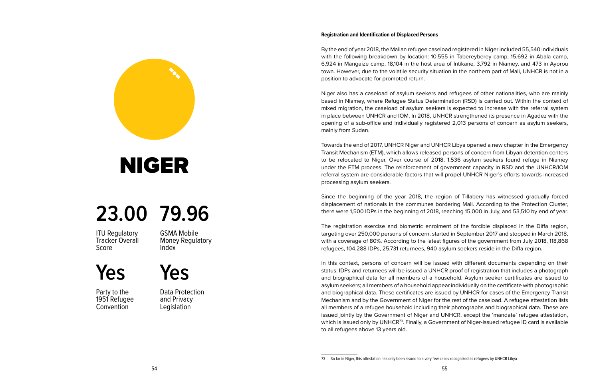By the end of year 2018, the Malian refugee caseload registered in Niger included 55,540 individuals with the following breakdown by location: 10,555 in Tabereyberey camp, 15,692 in Abala camp, 6,924 in Mangaize camp, 18,104 in the host area of Intikane, 3,792 in Niamey, and 473 in Ayorou town. However, due to the volatile security situation in the northern part of Mali, UNHCR is not in a position to advocate for promoted return.

Niger also has a caseload of asylum seekers and refugees of other nationalities, who are mainly based in Niamey, where Refugee Status Determination (RSD) is carried out. Within the context of mixed migration, the caseload of asylum seekers is expected to increase with the referral system in place between UNHCR and IOM. In 2018, UNHCR strengthened its presence in Agadez with the opening of a sub-office and individually registered 2,013 persons of concern as asylum seekers, mainly from Sudan.

Towards the end of 2017, UNHCR Niger and UNHCR Libya opened a new chapter in the Emergency Transit Mechanism (ETM), which allows released persons of concern from Libyan detention centers to be relocated to Niger. Over course of 2018, 1,536 asylum seekers found refuge in Niamey under the ETM process. The reinforcement of government capacity in RSD and the UNHCR/IOM referral system are considerable factors that will propel UNHCR Niger's efforts towards increased processing asylum seekers.

Since the beginning of the year 2018, the region of Tillabery has witnessed gradually forced displacement of nationals in the communes bordering Mali. According to the Protection Cluster, there were 1,500 IDPs in the beginning of 2018, reaching 15,000 in July, and 53,510 by end of year.

The registration exercise and biometric enrolment of the forcible displaced in the Diffa region, targeting over 250,000 persons of concern, started in September 2017 and stopped in March 2018, with a coverage of 80%. According to the latest figures of the government from July 2018, 118,868 refugees, 104,288 IDPs, 25,731 returnees, 940 asylum seekers reside in the Diffa region.

In this context, persons of concern will be issued with different documents depending on their status: IDPs and returnees will be issued a UNHCR proof of registration that includes a photograph and biographical data for all members of a household. Asylum seeker certificates are issued to asylum seekers; all members of a household appear individually on the certificate with photographic and biographical data. These certificates are issued by UNHCR for cases of the Emergency Transit Mechanism and by the Government of Niger for the rest of the caseload. A refugee attestation lists all members of a refugee household including their photographs and biographical data. These are issued jointly by the Government of Niger and UNHCR, except the 'mandate' refugee attestation, which is issued only by UNHCR<sup>73</sup>. Finally, a Government of Niger-issued refugee ID card is available to all refugees above 13 years old.



54

<span id="page-29-0"></span>

### NIGER

### **23.00 79.96**

**ITU Requlatory** Tracker Overall Score

GSMA Mobile Money Regulatory Index

**Yes**

Party to the 1951 Refugee **Convention** 

Data Protection and Privacy **Legislation** 

**Yes**

<sup>73</sup> So far in Niger, this attestation has only been issued to a very few cases recognized as refugees by UNHCR Libya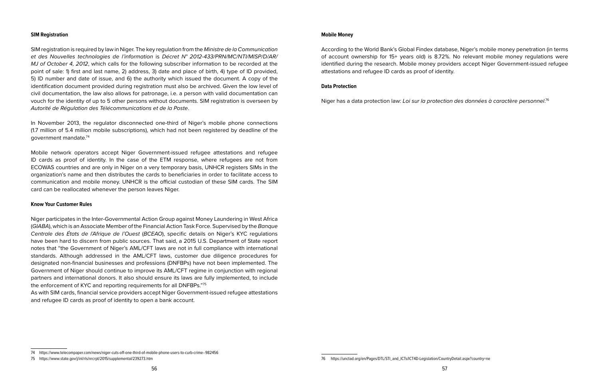#### **SIM Registration**

SIM registration is required by law in Niger. The key regulation from the *Ministre de la Communication et des Nouvelles technologies de l'information* is *Décret N° 2012-433/PRN/MC/NTI/MISP/D/AR/ MJ of October 4, 2012*, which calls for the following subscriber information to be recorded at the point of sale: 1) first and last name, 2) address, 3) date and place of birth, 4) type of ID provided, 5) ID number and date of issue, and 6) the authority which issued the document. A copy of the identification document provided during registration must also be archived. Given the low level of civil documentation, the law also allows for patronage, i.e. a person with valid documentation can vouch for the identity of up to 5 other persons without documents. SIM registration is overseen by *Autorité de Régulation des Télécommunications et de la Poste*.

In November 2013, the regulator disconnected one-third of Niger's mobile phone connections (1.7 million of 5.4 million mobile subscriptions), which had not been registered by deadline of the government mandate.74

Mobile network operators accept Niger Government-issued refugee attestations and refugee ID cards as proof of identity. In the case of the ETM response, where refugees are not from ECOWAS countries and are only in Niger on a very temporary basis, UNHCR registers SIMs in the organization's name and then distributes the cards to beneficiaries in order to facilitate access to communication and mobile money. UNHCR is the official custodian of these SIM cards. The SIM card can be reallocated whenever the person leaves Niger.

#### **Know Your Customer Rules**

Niger participates in the Inter-Governmental Action Group against Money Laundering in West Africa (*GIABA*), which is an Associate Member of the Financial Action Task Force. Supervised by the *Banque Centrale des États de l'Afrique de l'Ouest* (*BCEAO*), specific details on Niger's KYC regulations have been hard to discern from public sources. That said, a 2015 U.S. Department of State report notes that "the Government of Niger's AML/CFT laws are not in full compliance with international standards. Although addressed in the AML/CFT laws, customer due diligence procedures for designated non-financial businesses and professions (DNFBPs) have not been implemented. The Government of Niger should continue to improve its AML/CFT regime in conjunction with regional partners and international donors. It also should ensure its laws are fully implemented, to include the enforcement of KYC and reporting requirements for all DNFBPs."75

As with SIM cards, financial service providers accept Niger Government-issued refugee attestations and refugee ID cards as proof of identity to open a bank account.

#### **Mobile Money**

According to the World Bank's Global Findex database, Niger's mobile money penetration (in terms of account ownership for 15+ years old) is 8.72%. No relevant mobile money regulations were identified during the research. Mobile money providers accept Niger Government-issued refugee attestations and refugee ID cards as proof of identity.

#### **Data Protection**

Niger has a data protection law: *Loi sur la protection des données à caractère personnel*. 76

<sup>74</sup> https://www.telecompaper.com/news/niger-cuts-off-one-third-of-mobile-phone-users-to-curb-crime--982456

<sup>75</sup> https://www.state.gov/j/inl/rls/nrcrpt/2015/supplemental/239273.htm

<sup>76</sup> https://unctad.org/en/Pages/DTL/STI\_and\_ICTs/ICT4D-Legislation/CountryDetail.aspx?country=ne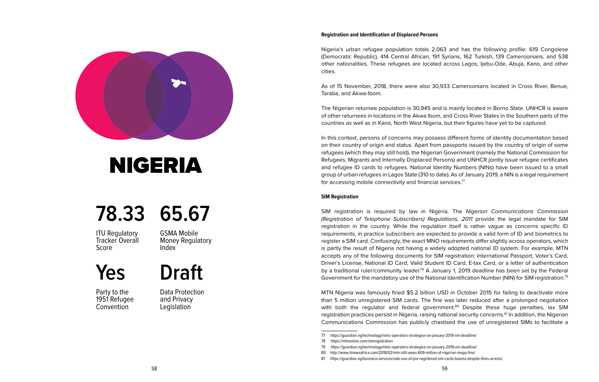<span id="page-31-0"></span>

### NIGERIA

### **78.33 65.67**

ITU Regulatory Tracker Overall Score

GSMA Mobile Money Regulatory Index

**Draft**

**Yes**

Party to the 1951 Refugee **Convention** 

Data Protection and Privacy **Legislation** 

#### **Registration and Identification of Displaced Persons**

Nigeria's urban refugee population totals 2,063 and has the following profile: 619 Congolese (Democratic Republic), 414 Central African, 191 Syrians, 162 Turkish, 139 Cameroonians, and 538 other nationalities. These refugees are located across Lagos, Ijebu-Ode, Abuja, Kano, and other cities.

As of 15 November, 2018, there were also 30,933 Cameroonians located in Cross River, Benue, Taraba, and Akwa-Ibom.

The Nigerian returnee population is 30,945 and is mainly located in Borno State. UNHCR is aware of other returnees in locations in the Akwa Ibom, and Cross River States in the Southern parts of the countries as well as in Kano, North West Nigeria, but their figures have yet to be captured.

In this context, persons of concerns may possess different forms of identity documentation based on their country of origin and status. Apart from passports issued by the country of origin of some refugees (which they may still hold), the Nigerian Government (namely the National Commission for Refugees, Migrants and Internally Displaced Persons) and UNHCR jointly issue refugee certificates and refugee ID cards to refugees. National Identity Numbers (NINs) have been issued to a small group of urban refugees in Lagos State (310 to date). As of January 2019, a NIN is a legal requirement for accessing mobile connectivity and financial services.<sup>77</sup>

#### **SIM Registration**

SIM registration is required by law in Nigeria. The *Nigerian Communications Commission (Registration of Telephone Subscribers) Regulations, 2011* provide the legal mandate for SIM registration in the country. While the regulation itself is rather vague as concerns specific ID requirements, in practice subscribers are expected to provide a valid form of ID and biometrics to register a SIM card. Confusingly, the exact MNO requirements differ slightly across operators, which is partly the result of Nigeria not having a widely adopted national ID system. For example, MTN accepts any of the following documents for SIM registration: International Passport, Voter's Card, Driver's License, National ID Card, Valid Student ID Card, E-tax Card, or a letter of authentication by a traditional ruler/community leader.<sup>78</sup> A January 1, 2019 deadline has been set by the Federal Government for the mandatory use of the National Identification Number (NIN) for SIM registration.<sup>79</sup>

MTN Nigeria was famously fined \$5.2 billion USD in October 2015 for failing to deactivate more than 5 million unregistered SIM cards. The fine was later reduced after a prolonged negotiation with both the regulator and federal government.<sup>80</sup> Despite these huge penalties, lax SIM registration practices persist in Nigeria, raising national security concerns.81 In addition, the Nigerian Communications Commission has publicly chastised the use of unregistered SIMs to facilitate a

<sup>77</sup> https://guardian.ng/technology/nimc-operators-strategise-on-january-2019-nin-deadline/ 78 https://mtnonline.com/simregistration

<sup>79</sup> https://guardian.ng/technology/nimc-operators-strategise-on-january-2019-nin-deadline/

<sup>80</sup> http://www.itnewsafrica.com/2018/02/mtn-still-owes-609-million-of-nigerian-mega-fine/

<sup>81</sup> https://guardian.ng/business-services/sale-use-of-pre-registered-sim-cards-booms-despite-fines-arrests/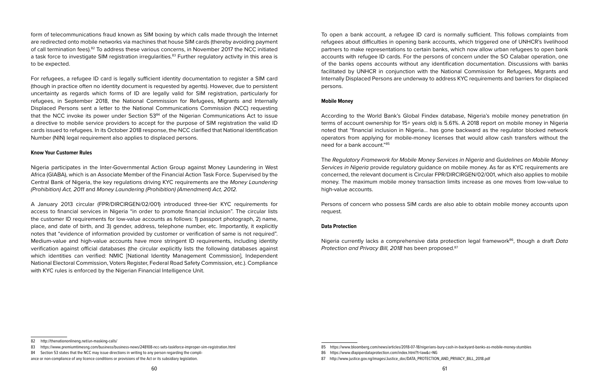form of telecommunications fraud known as SIM boxing by which calls made through the Internet are redirected onto mobile networks via machines that house SIM cards (thereby avoiding payment of call termination fees).82 To address these various concerns, in November 2017 the NCC initiated a task force to investigate SIM registration irregularities.<sup>83</sup> Further regulatory activity in this area is to be expected.

For refugees, a refugee ID card is legally sufficient identity documentation to register a SIM card (though in practice often no identity document is requested by agents). However, due to persistent uncertainty as regards which forms of ID are legally valid for SIM registration, particularly for refugees, in September 2018, the National Commission for Refugees, Migrants and Internally Displaced Persons sent a letter to the National Communications Commission (NCC) requesting that the NCC invoke its power under Section  $53<sup>84</sup>$  of the Nigerian Communications Act to issue a directive to mobile service providers to accept for the purpose of SIM registration the valid ID cards issued to refugees. In its October 2018 response, the NCC clarified that National Identification Number (NIN) legal requirement also applies to displaced persons.

#### **Know Your Customer Rules**

Nigeria participates in the Inter-Governmental Action Group against Money Laundering in West Africa (GIABA), which is an Associate Member of the Financial Action Task Force. Supervised by the Central Bank of Nigeria, the key regulations driving KYC requirements are the *Money Laundering (Prohibition) Act, 2011* and *Money Laundering (Prohibition) (Amendment) Act, 2012.*

A January 2013 circular (FPR/DIRCIRGEN/02/001) introduced three-tier KYC requirements for access to financial services in Nigeria "in order to promote financial inclusion". The circular lists the customer ID requirements for low-value accounts as follows: 1) passport photograph, 2) name, place, and date of birth, and 3) gender, address, telephone number, etc. Importantly, it explicitly notes that "evidence of information provided by customer or verification of same is not required". Medium-value and high-value accounts have more stringent ID requirements, including identity verification against official databases (the circular explicitly lists the following databases against which identities can verified: NMIC [National Identity Management Commission], Independent National Electoral Commission, Voters Register, Federal Road Safety Commission, etc.). Compliance with KYC rules is enforced by the Nigerian Financial Intelligence Unit.

To open a bank account, a refugee ID card is normally sufficient. This follows complaints from refugees about difficulties in opening bank accounts, which triggered one of UNHCR's livelihood partners to make representations to certain banks, which now allow urban refugees to open bank accounts with refugee ID cards. For the persons of concern under the SO Calabar operation, one of the banks opens accounts without any identification documentation. Discussions with banks facilitated by UNHCR in conjunction with the National Commission for Refugees, Migrants and Internally Displaced Persons are underway to address KYC requirements and barriers for displaced persons.

#### **Mobile Money**

According to the World Bank's Global Findex database, Nigeria's mobile money penetration (in terms of account ownership for 15+ years old) is 5.61%. A 2018 report on mobile money in Nigeria noted that "financial inclusion in Nigeria... has gone backward as the regulator blocked network operators from applying for mobile-money licenses that would allow cash transfers without the need for a bank account."85

The *Regulatory Framework for Mobile Money Services in Nigeria* and *Guidelines on Mobile Money Services in Nigeria* provide regulatory guidance on mobile money. As far as KYC requirements are concerned, the relevant document is Circular FPR/DIRCIRGEN/02/001, which also applies to mobile money. The maximum mobile money transaction limits increase as one moves from low-value to high-value accounts.

Persons of concern who possess SIM cards are also able to obtain mobile money accounts upon request.

#### **Data Protection**

Nigeria currently lacks a comprehensive data protection legal framework86, though a draft *Data Protection and Privacy Bill, 2018* has been proposed.87

<sup>82</sup> http://thenationonlineng.net/un-masking-calls/

<sup>83</sup> https://www.premiumtimesng.com/business/business-news/248108-ncc-sets-taskforce-improper-sim-registration.html

<sup>84</sup> Section 53 states that the NCC may issue directions in writing to any person regarding the compli-

ance or non-compliance of any licence conditions or provisions of the Act or its subsidiary legislation.

<sup>85</sup> https://www.bloomberg.com/news/articles/2018-07-18/nigerians-bury-cash-in-backyard-banks-as-mobile-money-stumbles

<sup>86</sup> <https://www.dlapiperdataprotection.com/index.html?t=law&c=NG>

<sup>87</sup> http://www.justice.gov.ng/images/Justice\_doc/DATA\_PROTECTION\_AND\_PRIVACY\_BILL\_2018.pdf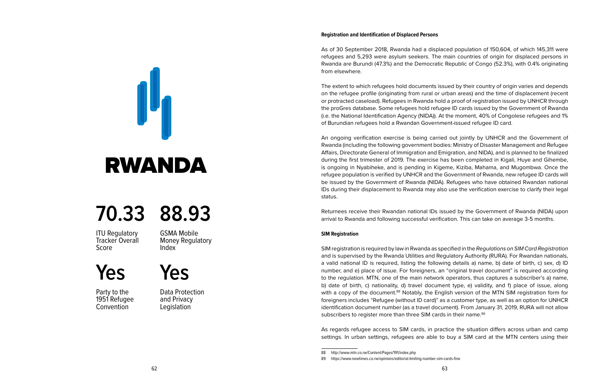As of 30 September 2018, Rwanda had a displaced population of 150,604, of which 145,311 were refugees and 5,293 were asylum seekers. The main countries of origin for displaced persons in Rwanda are Burundi (47.3%) and the Democratic Republic of Congo (52.3%), with 0.4% originating from elsewhere.

The extent to which refugees hold documents issued by their country of origin varies and depends on the refugee profile (originating from rural or urban areas) and the time of displacement (recent or protracted caseload). Refugees in Rwanda hold a proof of registration issued by UNHCR through the proGres database. Some refugees hold refugee ID cards issued by the Government of Rwanda (i.e. the National Identification Agency (NIDA)). At the moment, 40% of Congolese refugees and 1% of Burundian refugees hold a Rwandan Government-issued refugee ID card.

An ongoing verification exercise is being carried out jointly by UNHCR and the Government of Rwanda (including the following government bodies: Ministry of Disaster Management and Refugee Affairs, Directorate General of Immigration and Emigration, and NIDA), and is planned to be finalized during the first trimester of 2019. The exercise has been completed in Kigali, Huye and Gihembe, is ongoing in Nyabiheke, and is pending in Kigeme, Kiziba, Mahama, and Mugombwa. Once the refugee population is verified by UNHCR and the Government of Rwanda, new refugee ID cards will be issued by the Government of Rwanda (NIDA). Refugees who have obtained Rwandan national IDs during their displacement to Rwanda may also use the verification exercise to clarify their legal status.

Returnees receive their Rwandan national IDs issued by the Government of Rwanda (NIDA) upon arrival to Rwanda and following successful verification. This can take on average 3-5 months.

#### **SIM Registration**

SIM registration is required by law in Rwanda as specified in the *Regulations on SIM Card Registration* and is supervised by the Rwanda Utilities and Regulatory Authority (RURA). For Rwandan nationals, a valid national ID is required, listing the following details a) name, b) date of birth, c) sex, d) ID number, and e) place of issue. For foreigners, an "original travel document" is required according to the regulation. MTN, one of the main network operators, thus captures a subscriber's a) name, b) date of birth, c) nationality, d) travel document type, e) validity, and f) place of issue, along with a copy of the document.<sup>88</sup> Notably, the English version of the MTN SIM registration form for foreigners includes "Refugee (without ID card)" as a customer type, as well as an option for UNHCR identification document number (as a travel document). From January 31, 2019, RURA will not allow subscribers to register more than three SIM cards in their name.<sup>89</sup>

As regards refugee access to SIM cards, in practice the situation differs across urban and camp settings. In urban settings, refugees are able to buy a SIM card at the MTN centers using their

<span id="page-33-0"></span>

### **70.33 88.93**

**ITU Requlatory** Tracker Overall Score

GSMA Mobile Money Regulatory Index

**Yes**

Party to the 1951 Refugee **Convention** 

Data Protection and Privacy **Legislation** 

**Yes**

<sup>88</sup> http://www.mtn.co.rw/Content/Pages/191/index.php

<sup>89</sup> https://www.newtimes.co.rw/opinions/editorial-limiting-number-sim-cards-fine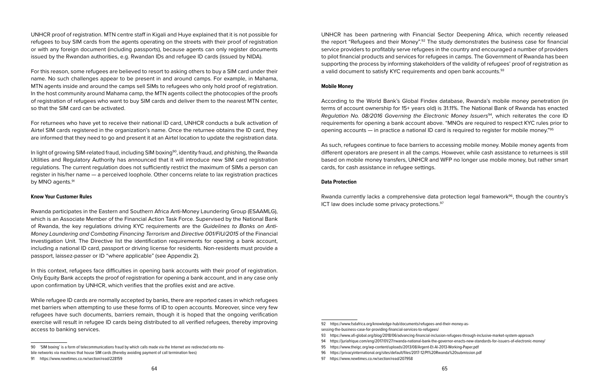UNHCR proof of registration. MTN centre staff in Kigali and Huye explained that it is not possible for refugees to buy SIM cards from the agents operating on the streets with their proof of registration or with any foreign document (including passports), because agents can only register documents issued by the Rwandan authorities, e.g. Rwandan IDs and refugee ID cards (issued by NIDA).

For this reason, some refugees are believed to resort to asking others to buy a SIM card under their name. No such challenges appear to be present in and around camps. For example, in Mahama, MTN agents inside and around the camps sell SIMs to refugees who only hold proof of registration. In the host community around Mahama camp, the MTN agents collect the photocopies of the proofs of registration of refugees who want to buy SIM cards and deliver them to the nearest MTN center, so that the SIM card can be activated.

For returnees who have yet to receive their national ID card, UNHCR conducts a bulk activation of Airtel SIM cards registered in the organization's name. Once the returnee obtains the ID card, they are informed that they need to go and present it at an Airtel location to update the registration data.

In light of growing SIM-related fraud, including SIM boxing<sup>90</sup>, identity fraud, and phishing, the Rwanda Utilities and Regulatory Authority has announced that it will introduce new SIM card registration regulations. The current regulation does not sufficiently restrict the maximum of SIMs a person can register in his/her name — a perceived loophole. Other concerns relate to lax registration practices by MNO agents.<sup>91</sup>

#### **Know Your Customer Rules**

Rwanda participates in the Eastern and Southern Africa Anti-Money Laundering Group (ESAAMLG), which is an Associate Member of the Financial Action Task Force. Supervised by the National Bank of Rwanda, the key regulations driving KYC requirements are the *Guidelines to Banks on Anti-Money Laundering and Combating Financing Terrorism* and *Directive 001/FIU/2015* of the Financial Investigation Unit. The Directive list the identification requirements for opening a bank account, including a national ID card, passport or driving license for residents. Non-residents must provide a passport, laissez-passer or ID "where applicable" (see Appendix 2).

In this context, refugees face difficulties in opening bank accounts with their proof of registration. Only Equity Bank accepts the proof of registration for opening a bank account, and in any case only upon confirmation by UNHCR, which verifies that the profiles exist and are active.

While refugee ID cards are normally accepted by banks, there are reported cases in which refugees met barriers when attempting to use these forms of ID to open accounts. Moreover, since very few refugees have such documents, barriers remain, though it is hoped that the ongoing verification exercise will result in refugee ID cards being distributed to all verified refugees, thereby improving access to banking services.

UNHCR has been partnering with Financial Sector Deepening Africa, which recently released the report "Refugees and their Money".<sup>92</sup> The study demonstrates the business case for financial service providers to profitably serve refugees in the country and encouraged a number of providers to pilot financial products and services for refugees in camps. The Government of Rwanda has been supporting the process by informing stakeholders of the validity of refugees' proof of registration as a valid document to satisfy KYC requirements and open bank accounts.<sup>93</sup>

#### **Mobile Money**

According to the World Bank's Global Findex database, Rwanda's mobile money penetration (in terms of account ownership for 15+ years old) is 31.11%. The National Bank of Rwanda has enacted *Regulation No. 08/2016 Governing the Electronic Money Issuers<sup>94</sup>, which reiterates the core ID* requirements for opening a bank account above. "MNOs are required to respect KYC rules prior to opening accounts — in practice a national ID card is required to register for mobile money."95

As such, refugees continue to face barriers to accessing mobile money. Mobile money agents from different operators are present in all the camps. However, while cash assistance to returnees is still based on mobile money transfers, UNHCR and WFP no longer use mobile money, but rather smart cards, for cash assistance in refugee settings.

#### **Data Protection**

Rwanda currently lacks a comprehensive data protection legal framework<sup>96</sup>, though the country's ICT law does include some privacy protections.<sup>97</sup>

<sup>90 &#</sup>x27;SIM boxing' is a form of telecommunications fraud by which calls made via the Internet are redirected onto mo-

bile networks via machines that house SIM cards (thereby avoiding payment of call termination fees)

<sup>91</sup> https://www.newtimes.co.rw/section/read/228159

<sup>92</sup> https://www.fsdafrica.org/knowledge-hub/documents/refugees-and-their-money-assessing-the-business-case-for-providing-financial-services-to-refugees/

<sup>93</sup> https://www.afi-global.org/blog/2018/06/advancing-financial-inclusion-refugees-through-inclusive-market-system-approach

<sup>94</sup> https://juriafrique.com/eng/2017/01/27/rwanda-national-bank-the-governor-enacts-new-standards-for-issuers-of-electronic-money/

<sup>95</sup> https://www.theigc.org/wp-content/uploads/2013/08/Argent-Et-Al-2013-Working-Paper.pdf

<sup>96</sup> https://privacyinternational.org/sites/default/files/2017-12/PI%20Rwanda%20submission.pdf

<sup>97</sup> https://www.newtimes.co.rw/section/read/207958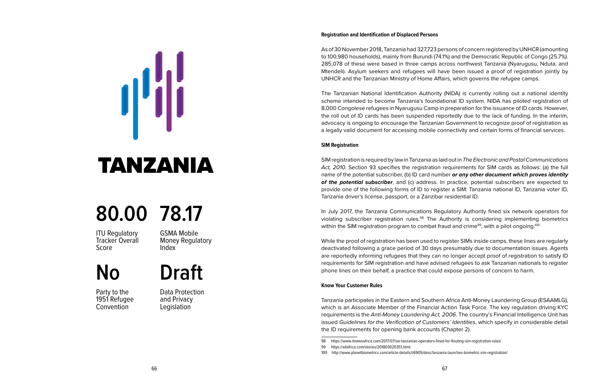As of 30 November 2018, Tanzania had 327,723 persons of concern registered by UNHCR (amounting to 100,980 households), mainly from Burundi (74.1%) and the Democratic Republic of Congo (25.7%). 285,078 of these were based in three camps across northwest Tanzania (Nyarugusu, Nduta, and Mtendeli). Asylum seekers and refugees will have been issued a proof of registration jointly by UNHCR and the Tanzanian Ministry of Home Affairs, which governs the refugee camps.

The Tanzanian National Identification Authority (NIDA) is currently rolling out a national identity scheme intended to become Tanzania's foundational ID system. NIDA has piloted registration of 8,000 Congolese refugees in Nyarugusu Camp in preparation for the issuance of ID cards. However, the roll out of ID cards has been suspended reportedly due to the lack of funding. In the interim, advocacy is ongoing to encourage the Tanzanian Government to recognize proof of registration as a legally valid document for accessing mobile connectivity and certain forms of financial services.

#### **SIM Registration**

SIM registration is required by law in Tanzania as laid out in *The Electronic and Postal Communications*  Act, 2010. Section 93 specifies the registration requirements for SIM cards as follows: (a) the full name of the potential subscriber, (b) ID card number *or any other document which proves identity of the potential subscriber*, and (c) address. In practice, potential subscribers are expected to provide one of the following forms of ID to register a SIM: Tanzania national ID, Tanzania voter ID, Tanzania driver's license, passport, or a Zanzibar residential ID.

In July 2017, the Tanzania Communications Regulatory Authority fined six network operators for violating subscriber registration rules.98 The Authority is considering implementing biometrics within the SIM registration program to combat fraud and crime<sup>99</sup>, with a pilot ongoing.<sup>100</sup>

While the proof of registration has been used to register SIMs inside camps, these lines are regularly deactivated following a grace period of 30 days presumably due to documentation issues. Agents are reportedly informing refugees that they can no longer accept proof of registration to satisfy ID requirements for SIM registration and have advised refugees to ask Tanzanian nationals to register phone lines on their behalf, a practice that could expose persons of concern to harm.

#### **Know Your Customer Rules**

Tanzania participates in the Eastern and Southern Africa Anti-Money Laundering Group (ESAAMLG), which is an Associate Member of the Financial Action Task Force. The key regulation driving KYC requirements is the *Anti-Money Laundering Act, 2006*. The country's Financial Intelligence Unit has issued *Guidelines for the Verification of Customers' Identities*, which specify in considerable detail the ID requirements for opening bank accounts (Chapter 2).

<span id="page-35-0"></span>

### TANZANIA

### **80.00 78.17**

**ITU Requlatory** Tracker Overall Score

GSMA Mobile Money Regulatory Index

### **No Draft**

Party to the 1951 Refugee **Convention** 

Data Protection and Privacy **Legislation** 

<sup>98</sup> https://www.itnewsafrica.com/2017/07/six-tanzanian-operators-fined-for-flouting-sim-registration-rules/

<sup>99</sup> https://allafrica.com/stories/201803020351.html

<sup>100</sup> http://www.planetbiometrics.com/article-details/i/6905/desc/tanzania-launches-biometric-sim-registration/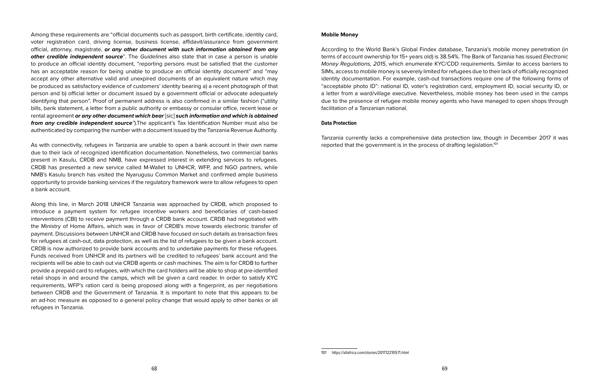Among these requirements are "official documents such as passport, birth certificate, identity card, voter registration card, driving license, business license, affidavit/assurance from government official, attorney, magistrate, *or any other document with such information obtained from any other credible independent source*". The *Guidelines* also state that in case a person is unable to produce an official identity document, "reporting persons must be satisfied that the customer has an acceptable reason for being unable to produce an official identity document" and "may accept any other alternative valid and unexpired documents of an equivalent nature which may be produced as satisfactory evidence of customers' identity bearing a) a recent photograph of that person and b) official letter or document issued by a government official or advocate adequately identifying that person". Proof of permanent address is also confirmed in a similar fashion ("utility bills, bank statement, a letter from a public authority or embassy or consular office, recent lease or rental agreement *or any other document which bear* [sic] *such information and which is obtained from any credible independent source"*).The applicant's Tax Identification Number must also be authenticated by comparing the number with a document issued by the Tanzania Revenue Authority.

As with connectivity, refugees in Tanzania are unable to open a bank account in their own name due to their lack of recognized identification documentation. Nonetheless, two commercial banks present in Kasulu, CRDB and NMB, have expressed interest in extending services to refugees. CRDB has presented a new service called M-Wallet to UNHCR, WFP, and NGO partners, while NMB's Kasulu branch has visited the Nyarugusu Common Market and confirmed ample business opportunity to provide banking services if the regulatory framework were to allow refugees to open a bank account.

Along this line, in March 2018 UNHCR Tanzania was approached by CRDB, which proposed to introduce a payment system for refugee incentive workers and beneficiaries of cash-based interventions (CBI) to receive payment through a CRDB bank account. CRDB had negotiated with the Ministry of Home Affairs, which was in favor of CRDB's move towards electronic transfer of payment. Discussions between UNHCR and CRDB have focused on such details as transaction fees for refugees at cash-out, data protection, as well as the list of refugees to be given a bank account. CRDB is now authorized to provide bank accounts and to undertake payments for these refugees. Funds received from UNHCR and its partners will be credited to refugees' bank account and the recipients will be able to cash out via CRDB agents or cash machines. The aim is for CRDB to further provide a prepaid card to refugees, with which the card holders will be able to shop at pre-identified retail shops in and around the camps, which will be given a card reader. In order to satisfy KYC requirements, WFP's ration card is being proposed along with a fingerprint, as per negotiations between CRDB and the Government of Tanzania. It is important to note that this appears to be an ad-hoc measure as opposed to a general policy change that would apply to other banks or all refugees in Tanzania.

#### **Mobile Money**

According to the World Bank's Global Findex database, Tanzania's mobile money penetration (in terms of account ownership for 15+ years old) is 38.54%. The Bank of Tanzania has issued *Electronic Money Regulations, 2015*, which enumerate KYC/CDD requirements. Similar to access barriers to SIMs, access to mobile money is severely limited for refugees due to their lack of officially recognized identity documentation. For example, cash-out transactions require one of the following forms of "acceptable photo ID": national ID, voter's registration card, employment ID, social security ID, or a letter from a ward/village executive. Nevertheless, mobile money has been used in the camps due to the presence of refugee mobile money agents who have managed to open shops through facilitation of a Tanzanian national.

#### **Data Protection**

Tanzania currently lacks a comprehensive data protection law, though in December 2017 it was reported that the government is in the process of drafting legislation.101

<sup>101</sup> https://allafrica.com/stories/201712210571.html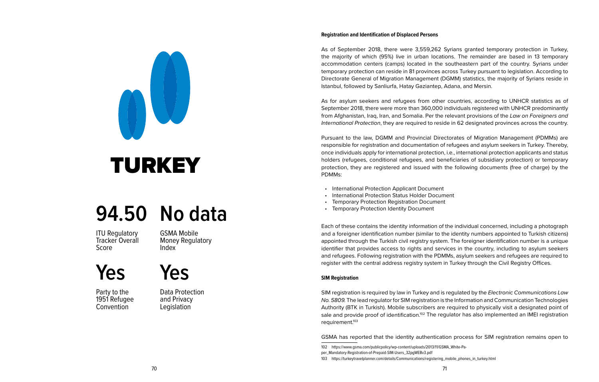As of September 2018, there were 3,559,262 Syrians granted temporary protection in Turkey, the majority of which (95%) live in urban locations. The remainder are based in 13 temporary accommodation centers (camps) located in the southeastern part of the country. Syrians under temporary protection can reside in 81 provinces across Turkey pursuant to legislation. According to Directorate General of Migration Management (DGMM) statistics, the majority of Syrians reside in Istanbul, followed by Sanliurfa, Hatay Gaziantep, Adana, and Mersin.

As for asylum seekers and refugees from other countries, according to UNHCR statistics as of September 2018, there were more than 360,000 individuals registered with UNHCR predominantly from Afghanistan, Iraq, Iran, and Somalia. Per the relevant provisions of the *Law on Foreigners and International Protection*, they are required to reside in 62 designated provinces across the country.

Pursuant to the law, DGMM and Provincial Directorates of Migration Management (PDMMs) are responsible for registration and documentation of refugees and asylum seekers in Turkey. Thereby, once individuals apply for international protection, i.e., international protection applicants and status holders (refugees, conditional refugees, and beneficiaries of subsidiary protection) or temporary protection, they are registered and issued with the following documents (free of charge) by the PDMMs:

- International Protection Applicant Document
- International Protection Status Holder Document
- Temporary Protection Registration Document
- Temporary Protection Identity Document

Each of these contains the identity information of the individual concerned, including a photograph and a foreigner identification number (similar to the identity numbers appointed to Turkish citizens) appointed through the Turkish civil registry system. The foreigner identification number is a unique identifier that provides access to rights and services in the country, including to asylum seekers and refugees. Following registration with the PDMMs, asylum seekers and refugees are required to register with the central address registry system in Turkey through the Civil Registry Offices.

#### **SIM Registration**

SIM registration is required by law in Turkey and is regulated by the *Electronic Communications Law No. 5809.* The lead regulator for SIM registration is the Information and Communication Technologies Authority (BTK in Turkish). Mobile subscribers are required to physically visit a designated point of sale and provide proof of identification.<sup>102</sup> The regulator has also implemented an IMEI registration requirement.103

GSMA has reported that the identity authentication process for SIM registration remains open to

<span id="page-37-0"></span>

# TURKEY

### **94.50 No data**

ITU Regulatory Tracker Overall Score

GSMA Mobile Money Regulatory Index

**Yes**

Party to the 1951 Refugee **Convention** 

Data Protection and Privacy **Legislation** 

**Yes**

<sup>102</sup> https://www.gsma.com/publicpolicy/wp-content/uploads/2013/11/GSMA\_White-Pa-

per\_Mandatory-Registration-of-Prepaid-SIM-Users\_32pgWEBv3.pdf

<sup>103</sup> https://turkeytravelplanner.com/details/Communications/registering\_mobile\_phones\_in\_turkey.html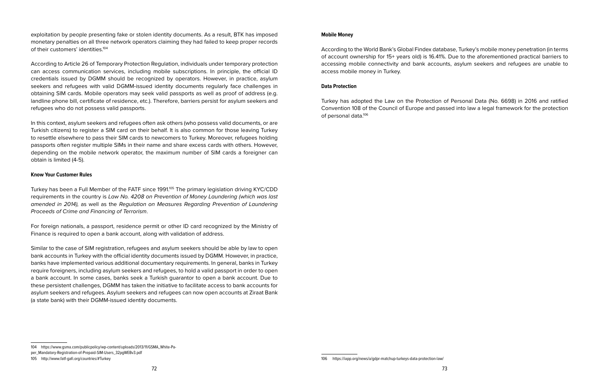exploitation by people presenting fake or stolen identity documents. As a result, BTK has imposed monetary penalties on all three network operators claiming they had failed to keep proper records of their customers' identities.104

According to Article 26 of Temporary Protection Regulation, individuals under temporary protection can access communication services, including mobile subscriptions. In principle, the official ID credentials issued by DGMM should be recognized by operators. However, in practice, asylum seekers and refugees with valid DGMM-issued identity documents regularly face challenges in obtaining SIM cards. Mobile operators may seek valid passports as well as proof of address (e.g. landline phone bill, certificate of residence, etc.). Therefore, barriers persist for asylum seekers and refugees who do not possess valid passports.

In this context, asylum seekers and refugees often ask others (who possess valid documents, or are Turkish citizens) to register a SIM card on their behalf. It is also common for those leaving Turkey to resettle elsewhere to pass their SIM cards to newcomers to Turkey. Moreover, refugees holding passports often register multiple SIMs in their name and share excess cards with others. However, depending on the mobile network operator, the maximum number of SIM cards a foreigner can obtain is limited (4-5).

#### **Know Your Customer Rules**

Turkey has been a Full Member of the FATF since 1991.<sup>105</sup> The primary legislation driving KYC/CDD requirements in the country is *Law No. 4208 on Prevention of Money Laundering (which was last amended in 2014),* as well as the *Regulation on Measures Regarding Prevention of Laundering Proceeds of Crime and Financing of Terrorism*.

For foreign nationals, a passport, residence permit or other ID card recognized by the Ministry of Finance is required to open a bank account, along with validation of address.

Similar to the case of SIM registration, refugees and asylum seekers should be able by law to open bank accounts in Turkey with the official identity documents issued by DGMM. However, in practice, banks have implemented various additional documentary requirements. In general, banks in Turkey require foreigners, including asylum seekers and refugees, to hold a valid passport in order to open a bank account. In some cases, banks seek a Turkish guarantor to open a bank account. Due to these persistent challenges, DGMM has taken the initiative to facilitate access to bank accounts for asylum seekers and refugees. Asylum seekers and refugees can now open accounts at Ziraat Bank (a state bank) with their DGMM-issued identity documents.

#### **Mobile Money**

According to the World Bank's Global Findex database, Turkey's mobile money penetration (in terms of account ownership for 15+ years old) is 16.41%. Due to the aforementioned practical barriers to accessing mobile connectivity and bank accounts, asylum seekers and refugees are unable to access mobile money in Turkey.

#### **Data Protection**

Turkey has adopted the Law on the Protection of Personal Data (No. 6698) in 2016 and ratified Convention 108 of the Council of Europe and passed into law a legal framework for the protection of personal data.106

<sup>104</sup> https://www.gsma.com/publicpolicy/wp-content/uploads/2013/11/GSMA\_White-Pa-

per\_Mandatory-Registration-of-Prepaid-SIM-Users\_32pgWEBv3.pdf

<sup>105</sup> http://www.fatf-gafi.org/countries/#Turkey

<sup>106</sup> https://iapp.org/news/a/gdpr-matchup-turkeys-data-protection-law/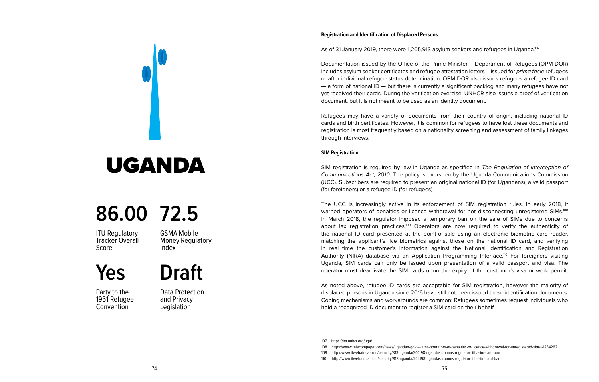As of 31 January 2019, there were 1,205,913 asylum seekers and refugees in Uganda.<sup>107</sup>

Documentation issued by the Office of the Prime Minister – Department of Refugees (OPM-DOR) includes asylum seeker certificates and refugee attestation letters – issued for *prima facie* refugees or after individual refugee status determination. OPM-DOR also issues refugees a refugee ID card — a form of national ID — but there is currently a significant backlog and many refugees have not yet received their cards. During the verification exercise, UNHCR also issues a proof of verification document, but it is not meant to be used as an identity document.

Refugees may have a variety of documents from their country of origin, including national ID cards and birth certificates. However, it is common for refugees to have lost these documents and registration is most frequently based on a nationality screening and assessment of family linkages through interviews.

#### **SIM Registration**

SIM registration is required by law in Uganda as specified in *The Regulation of Interception of Communications Act, 2010*. The policy is overseen by the Uganda Communications Commission (UCC). Subscribers are required to present an original national ID (for Ugandans), a valid passport (for foreigners) or a refugee ID (for refugees).

The UCC is increasingly active in its enforcement of SIM registration rules. In early 2018, it warned operators of penalties or licence withdrawal for not disconnecting unregistered SIMs.<sup>108</sup> In March 2018, the regulator imposed a temporary ban on the sale of SIMs due to concerns about lax registration practices.<sup>109</sup> Operators are now required to verify the authenticity of the national ID card presented at the point-of-sale using an electronic biometric card reader, matching the applicant's live biometrics against those on the national ID card, and verifying in real time the customer's information against the National Identification and Registration Authority (NIRA) database via an Application Programming Interface.<sup>110</sup> For foreigners visiting Uganda, SIM cards can only be issued upon presentation of a valid passport and visa. The operator must deactivate the SIM cards upon the expiry of the customer's visa or work permit.

As noted above, refugee ID cards are acceptable for SIM registration, however the majority of displaced persons in Uganda since 2016 have still not been issued these identification documents. Coping mechanisms and workarounds are common: Refugees sometimes request individuals who hold a recognized ID document to register a SIM card on their behalf.

<span id="page-39-0"></span>

### UGANDA

### **86.00 72.5**

**ITU Requlatory** Tracker Overall Score

GSMA Mobile Money Regulatory Index

**Draft**

**Yes**

Party to the 1951 Refugee **Convention** 

Data Protection and Privacy **Legislation** 

<sup>107</sup> https://im.unhcr.org/uga/

<sup>108</sup> https://www.telecompaper.com/news/ugandan-govt-warns-operators-of-penalties-or-licence-withdrawal-for-unregistered-sims--1234262

<sup>109</sup> http://www.itwebafrica.com/security/813-uganda/244198-ugandas-comms-regulator-lifts-sim-card-ban

<sup>110</sup> http://www.itwebafrica.com/security/813-uganda/244198-ugandas-comms-regulator-lifts-sim-card-ban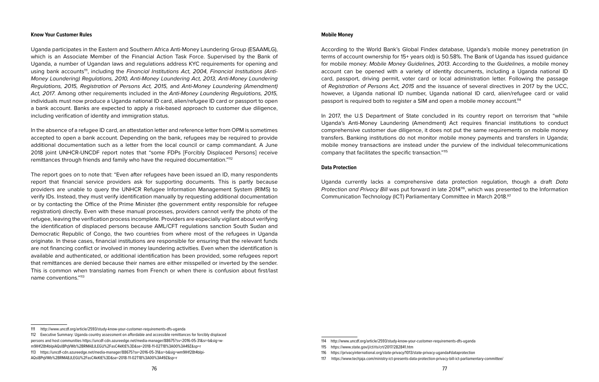#### **Know Your Customer Rules**

Uganda participates in the Eastern and Southern Africa Anti-Money Laundering Group (ESAAMLG), which is an Associate Member of the Financial Action Task Force. Supervised by the Bank of Uganda, a number of Ugandan laws and regulations address KYC requirements for opening and using bank accounts<sup>111</sup>, including the *Financial Institutions Act, 2004, Financial Institutions (Anti-Money Laundering) Regulations, 2010, Anti-Money Laundering Act, 2013, Anti-Money Laundering Regulations, 2015, Registration of Persons Act, 2015,* and *Anti-Money Laundering (Amendment) Act, 2017*. Among other requirements included in the *Anti-Money Laundering Regulations, 2015,* individuals must now produce a Uganda national ID card, alien/refugee ID card or passport to open a bank account. Banks are expected to apply a risk-based approach to customer due diligence, including verification of identity and immigration status.

In the absence of a refugee ID card, an attestation letter and reference letter from OPM is sometimes accepted to open a bank account. Depending on the bank, refugees may be required to provide additional documentation such as a letter from the local council or camp commandant. A June 2018 joint UNHCR-UNCDF report notes that "some FDPs [Forcibly Displaced Persons] receive remittances through friends and family who have the required documentation."112

The report goes on to note that: "Even after refugees have been issued an ID, many respondents report that financial service providers ask for supporting documents. This is partly because providers are unable to query the UNHCR Refugee Information Management System (RIMS) to verify IDs. Instead, they must verify identification manually by requesting additional documentation or by contacting the Office of the Prime Minister (the government entity responsible for refugee registration) directly. Even with these manual processes, providers cannot verify the photo of the refugee, leaving the verification process incomplete. Providers are especially vigilant about verifying the identification of displaced persons because AML/CFT regulations sanction South Sudan and Democratic Republic of Congo, the two countries from where most of the refugees in Uganda originate. In these cases, financial institutions are responsible for ensuring that the relevant funds are not financing conflict or involved in money laundering activities. Even when the identification is available and authenticated, or additional identification has been provided, some refugees report that remittances are denied because their names are either misspelled or inverted by the sender. This is common when translating names from French or when there is confusion about first/last name conventions."113

#### **Mobile Money**

According to the World Bank's Global Findex database, Uganda's mobile money penetration (in terms of account ownership for 15+ years old) is 50.58%. The Bank of Uganda has issued guidance for mobile money: *Mobile Money Guidelines, 2013*. According to the *Guidelines,* a mobile money account can be opened with a variety of identity documents, including a Uganda national ID card, passport, driving permit, voter card or local administration letter. Following the passage of *Registration of Persons Act, 2015* and the issuance of several directives in 2017 by the UCC, however, a Uganda national ID number, Uganda national ID card, alien/refugee card or valid passport is required both to register a SIM and open a mobile money account.114

In 2017, the U.S Department of State concluded in its country report on terrorism that "while Uganda's Anti-Money Laundering (Amendment) Act requires financial institutions to conduct comprehensive customer due diligence, it does not put the same requirements on mobile money transfers. Banking institutions do not monitor mobile money payments and transfers in Uganda; mobile money transactions are instead under the purview of the individual telecommunications company that facilitates the specific transaction."115

#### **Data Protection**

Uganda currently lacks a comprehensive data protection regulation, though a draft *Data Protection and Privacy Bill* was put forward in late 2014<sup>16</sup>, which was presented to the Information Communication Technology (ICT) Parliamentary Committee in March 2018.117

<sup>111</sup> http://www.uncdf.org/article/2593/study-know-your-customer-requirements-dfs-uganda

<sup>112</sup> Executive Summary: Uganda country assessment on affordable and accessible remittances for forcibly displaced persons and host communities https://uncdf-cdn.azureedge.net/media-manager/88675?sv=2016-05-31&sr=b&sig=wm9IHf28t4bIpiAQsl8PqVWb%2BRMA8JLEGU%2FasC4kKtE%3D&se=2018-11-02T18%3A00%3A49Z&sp=r 113 https://uncdf-cdn.azureedge.net/media-manager/88675?sv=2016-05-31&sr=b&sig=wm9IHf28t4bIpi-AQsl8PqVWb%2BRMA8JLEGU%2FasC4kKtE%3D&se=2018-11-02T18%3A00%3A49Z&sp=r

<sup>114</sup> http://www.uncdf.org/article/2593/study-know-your-customer-requirements-dfs-uganda

<sup>115</sup> https://www.state.gov/j/ct/rls/crt/2017/282841.htm

<sup>116</sup> https://privacyinternational.org/state-privacy/1013/state-privacy-uganda#dataprotection

<sup>117</sup> https://www.techjaja.com/ministry-ict-presents-data-protection-privacy-bill-ict-parliamentary-committee/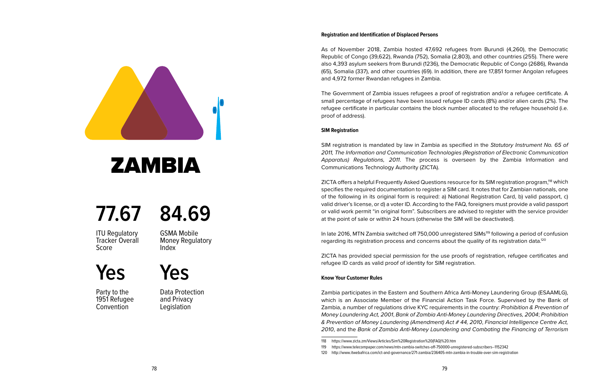<span id="page-41-0"></span>

### ZAMBIA

### **77.67 84.69**

**ITU Requlatory** Tracker Overall Score

GSMA Mobile Money Regulatory Index

**Yes**

Party to the 1951 Refugee **Convention** 

Data Protection and Privacy **Legislation** 

**Yes**

#### **Registration and Identification of Displaced Persons**

As of November 2018, Zambia hosted 47,692 refugees from Burundi (4,260), the Democratic Republic of Congo (39,622), Rwanda (752), Somalia (2,803), and other countries (255). There were also 4,393 asylum seekers from Burundi (1236), the Democratic Republic of Congo (2686), Rwanda (65), Somalia (337), and other countries (69). In addition, there are 17,851 former Angolan refugees and 4,972 former Rwandan refugees in Zambia.

The Government of Zambia issues refugees a proof of registration and/or a refugee certificate. A small percentage of refugees have been issued refugee ID cards (8%) and/or alien cards (2%). The refugee certificate in particular contains the block number allocated to the refugee household (i.e. proof of address).

#### **SIM Registration**

SIM registration is mandated by law in Zambia as specified in the *Statutory Instrument No. 65 of 2011, The Information and Communication Technologies (Registration of Electronic Communication Apparatus) Regulations, 2011*. The process is overseen by the Zambia Information and Communications Technology Authority (ZICTA).

ZICTA offers a helpful Frequently Asked Questions resource for its SIM registration program,118 which specifies the required documentation to register a SIM card. It notes that for Zambian nationals, one of the following in its original form is required: a) National Registration Card, b) valid passport, c) valid driver's license, or d) a voter ID. According to the FAQ, foreigners must provide a valid passport or valid work permit "in original form". Subscribers are advised to register with the service provider at the point of sale or within 24 hours (otherwise the SIM will be deactivated).

In late 2016, MTN Zambia switched off 750,000 unregistered SIMs<sup>119</sup> following a period of confusion regarding its registration process and concerns about the quality of its registration data.<sup>120</sup>

ZICTA has provided special permission for the use proofs of registration, refugee certificates and refugee ID cards as valid proof of identity for SIM registration.

#### **Know Your Customer Rules**

Zambia participates in the Eastern and Southern Africa Anti-Money Laundering Group (ESAAMLG), which is an Associate Member of the Financial Action Task Force. Supervised by the Bank of Zambia, a number of regulations drive KYC requirements in the country: *Prohibition & Prevention of Money Laundering Act, 2001*, *Bank of Zambia Anti-Money Laundering Directives, 2004*; *Prohibition & Prevention of Money Laundering (Amendment) Act # 44, 2010*, *Financial Intelligence Centre Act, 2010*, and the *Bank of Zambia Anti-Money Laundering and Combating the Financing of Terrorism* 

<sup>118</sup> https://www.zicta.zm/Views/Articles/Sim%20Registration%20(FAQ)%20.htm

<sup>119</sup> https://www.telecompaper.com/news/mtn-zambia-switches-off-750000-unregistered-subscribers--1152342

<sup>120</sup> http://www.itwebafrica.com/ict-and-governance/271-zambia/236405-mtn-zambia-in-trouble-over-sim-registration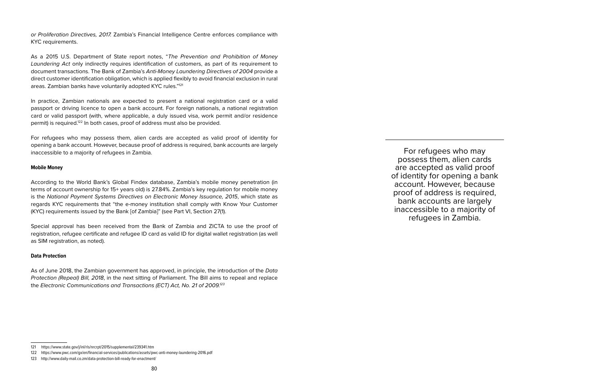*or Proliferation Directives, 2017.* Zambia's Financial Intelligence Centre enforces compliance with KYC requirements.

As a 2015 U.S. Department of State report notes, "*The Prevention and Prohibition of Money Laundering Act* only indirectly requires identification of customers, as part of its requirement to document transactions. The Bank of Zambia's *Anti-Money Laundering Directives of 2004* provide a direct customer identification obligation, which is applied flexibly to avoid financial exclusion in rural areas. Zambian banks have voluntarily adopted KYC rules."121

In practice, Zambian nationals are expected to present a national registration card or a valid passport or driving licence to open a bank account. For foreign nationals, a national registration card or valid passport (with, where applicable, a duly issued visa, work permit and/or residence permit) is required.122 In both cases, proof of address must also be provided.

For refugees who may possess them, alien cards are accepted as valid proof of identity for opening a bank account. However, because proof of address is required, bank accounts are largely inaccessible to a majority of refugees in Zambia.

#### **Mobile Money**

According to the World Bank's Global Findex database, Zambia's mobile money penetration (in terms of account ownership for 15+ years old) is 27.84%. Zambia's key regulation for mobile money is the *National Payment Systems Directives on Electronic Money Issuance, 2015*, which state as regards KYC requirements that "the e-money institution shall comply with Know Your Customer (KYC) requirements issued by the Bank [of Zambia]" (see Part VI, Section 27(1).

Special approval has been received from the Bank of Zambia and ZICTA to use the proof of registration, refugee certificate and refugee ID card as valid ID for digital wallet registration (as well as SIM registration, as noted).

#### **Data Protection**

As of June 2018, the Zambian government has approved, in principle, the introduction of the *Data Protection (Repeal) Bill, 2018*, in the next sitting of Parliament. The Bill aims to repeal and replace the *Electronic Communications and Transactions (ECT) Act, No. 21 of 2009.123*

For refugees who may possess them, alien cards are accepted as valid proof of identity for opening a bank account. However, because proof of address is required, bank accounts are largely inaccessible to a majority of refugees in Zambia.

<sup>121</sup> https://www.state.gov/j/inl/rls/nrcrpt/2015/supplemental/239341.htm

<sup>122</sup> https://www.pwc.com/gx/en/financial-services/publications/assets/pwc-anti-money-laundering-2016.pdf

<sup>123</sup> http://www.daily-mail.co.zm/data-protection-bill-ready-for-enactment/